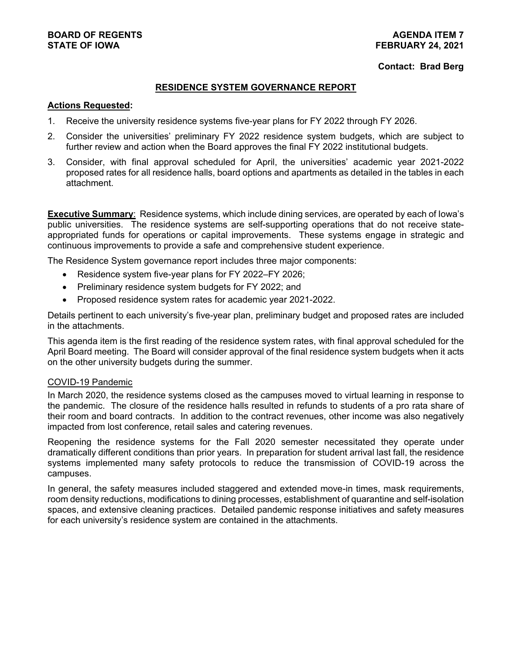## **BOARD OF REGENTS AGENDA ITEM 7**

#### **Contact: Brad Berg**

#### **RESIDENCE SYSTEM GOVERNANCE REPORT**

#### **Actions Requested:**

- 1. Receive the university residence systems five-year plans for FY 2022 through FY 2026.
- 2. Consider the universities' preliminary FY 2022 residence system budgets, which are subject to further review and action when the Board approves the final FY 2022 institutional budgets.
- 3. Consider, with final approval scheduled for April, the universities' academic year 2021-2022 proposed rates for all residence halls, board options and apartments as detailed in the tables in each attachment.

**Executive Summary:** Residence systems, which include dining services, are operated by each of lowa's public universities. The residence systems are self-supporting operations that do not receive stateappropriated funds for operations or capital improvements. These systems engage in strategic and continuous improvements to provide a safe and comprehensive student experience.

The Residence System governance report includes three major components:

- Residence system five-year plans for FY 2022–FY 2026;
- Preliminary residence system budgets for FY 2022; and
- Proposed residence system rates for academic year 2021-2022.

Details pertinent to each university's five-year plan, preliminary budget and proposed rates are included in the attachments.

This agenda item is the first reading of the residence system rates, with final approval scheduled for the April Board meeting. The Board will consider approval of the final residence system budgets when it acts on the other university budgets during the summer.

#### COVID-19 Pandemic

In March 2020, the residence systems closed as the campuses moved to virtual learning in response to the pandemic. The closure of the residence halls resulted in refunds to students of a pro rata share of their room and board contracts. In addition to the contract revenues, other income was also negatively impacted from lost conference, retail sales and catering revenues.

Reopening the residence systems for the Fall 2020 semester necessitated they operate under dramatically different conditions than prior years. In preparation for student arrival last fall, the residence systems implemented many safety protocols to reduce the transmission of COVID-19 across the campuses.

In general, the safety measures included staggered and extended move-in times, mask requirements, room density reductions, modifications to dining processes, establishment of quarantine and self-isolation spaces, and extensive cleaning practices. Detailed pandemic response initiatives and safety measures for each university's residence system are contained in the attachments.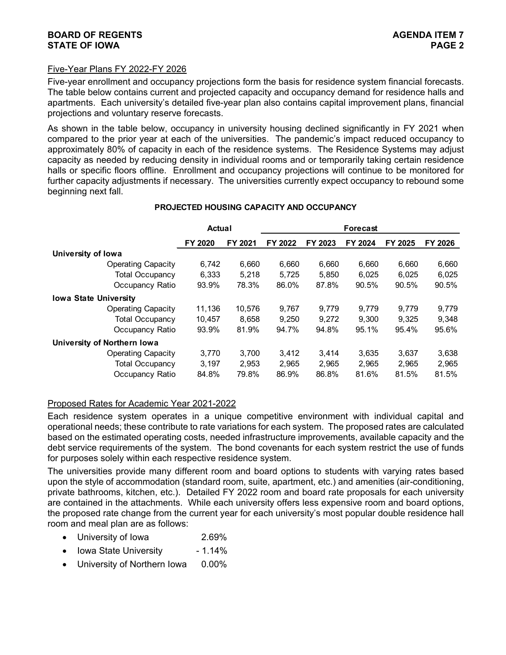#### Five-Year Plans FY 2022-FY 2026

Five-year enrollment and occupancy projections form the basis for residence system financial forecasts. The table below contains current and projected capacity and occupancy demand for residence halls and apartments. Each university's detailed five-year plan also contains capital improvement plans, financial projections and voluntary reserve forecasts.

As shown in the table below, occupancy in university housing declined significantly in FY 2021 when compared to the prior year at each of the universities. The pandemic's impact reduced occupancy to approximately 80% of capacity in each of the residence systems. The Residence Systems may adjust capacity as needed by reducing density in individual rooms and or temporarily taking certain residence halls or specific floors offline. Enrollment and occupancy projections will continue to be monitored for further capacity adjustments if necessary. The universities currently expect occupancy to rebound some beginning next fall.

#### **PROJECTED HOUSING CAPACITY AND OCCUPANCY**

|                              | Actual  |         |         | <b>Forecast</b> |         |         |         |  |  |  |
|------------------------------|---------|---------|---------|-----------------|---------|---------|---------|--|--|--|
|                              | FY 2020 | FY 2021 | FY 2022 | FY 2023         | FY 2024 | FY 2025 | FY 2026 |  |  |  |
| University of Iowa           |         |         |         |                 |         |         |         |  |  |  |
| <b>Operating Capacity</b>    | 6.742   | 6,660   | 6,660   | 6,660           | 6,660   | 6.660   | 6,660   |  |  |  |
| <b>Total Occupancy</b>       | 6.333   | 5.218   | 5.725   | 5.850           | 6.025   | 6.025   | 6,025   |  |  |  |
| Occupancy Ratio              | 93.9%   | 78.3%   | 86.0%   | 87.8%           | 90.5%   | 90.5%   | 90.5%   |  |  |  |
| <b>Iowa State University</b> |         |         |         |                 |         |         |         |  |  |  |
| <b>Operating Capacity</b>    | 11.136  | 10,576  | 9.767   | 9.779           | 9.779   | 9.779   | 9,779   |  |  |  |
| <b>Total Occupancy</b>       | 10,457  | 8,658   | 9,250   | 9.272           | 9.300   | 9.325   | 9,348   |  |  |  |
| Occupancy Ratio              | 93.9%   | 81.9%   | 94.7%   | 94.8%           | 95.1%   | 95.4%   | 95.6%   |  |  |  |
| University of Northern Iowa  |         |         |         |                 |         |         |         |  |  |  |
| <b>Operating Capacity</b>    | 3.770   | 3.700   | 3,412   | 3,414           | 3,635   | 3,637   | 3,638   |  |  |  |
| <b>Total Occupancy</b>       | 3.197   | 2.953   | 2,965   | 2.965           | 2,965   | 2.965   | 2.965   |  |  |  |
| Occupancy Ratio              | 84.8%   | 79.8%   | 86.9%   | 86.8%           | 81.6%   | 81.5%   | 81.5%   |  |  |  |

#### Proposed Rates for Academic Year 2021-2022

Each residence system operates in a unique competitive environment with individual capital and operational needs; these contribute to rate variations for each system. The proposed rates are calculated based on the estimated operating costs, needed infrastructure improvements, available capacity and the debt service requirements of the system. The bond covenants for each system restrict the use of funds for purposes solely within each respective residence system.

The universities provide many different room and board options to students with varying rates based upon the style of accommodation (standard room, suite, apartment, etc.) and amenities (air-conditioning, private bathrooms, kitchen, etc.). Detailed FY 2022 room and board rate proposals for each university are contained in the attachments. While each university offers less expensive room and board options, the proposed rate change from the current year for each university's most popular double residence hall room and meal plan are as follows:

- University of Iowa 2.69%
- Iowa State University 1.14%
- University of Northern Iowa 0.00%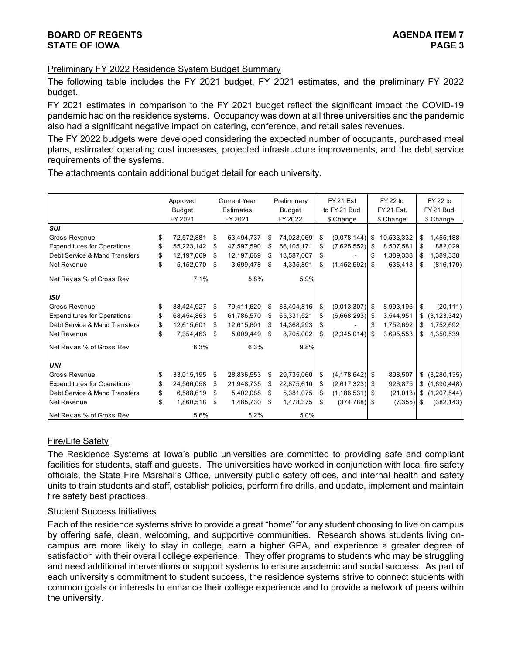#### Preliminary FY 2022 Residence System Budget Summary

The following table includes the FY 2021 budget, FY 2021 estimates, and the preliminary FY 2022 budget.

FY 2021 estimates in comparison to the FY 2021 budget reflect the significant impact the COVID-19 pandemic had on the residence systems. Occupancy was down at all three universities and the pandemic also had a significant negative impact on catering, conference, and retail sales revenues.

The FY 2022 budgets were developed considering the expected number of occupants, purchased meal plans, estimated operating cost increases, projected infrastructure improvements, and the debt service requirements of the systems.

The attachments contain additional budget detail for each university.

|                                    | Approved           |     | <b>Current Year</b> |    | Preliminary | FY 21 Est                | FY 22 to        | FY 22 to            |
|------------------------------------|--------------------|-----|---------------------|----|-------------|--------------------------|-----------------|---------------------|
|                                    | <b>Budget</b>      |     | Estimates           |    | Budget      | to FY 21 Bud             | FY 21 Est.      | FY 21 Bud.          |
|                                    | FY 2021            |     | FY 2021             |    | FY 2022     | \$ Change                | \$ Change       | \$ Change           |
| <b>SUI</b>                         |                    |     |                     |    |             |                          |                 |                     |
| <b>Gross Revenue</b>               | \$<br>72,572,881   | \$  | 63,494,737          | S  | 74,028,069  | \$<br>$(9,078,144)$ \$   | 10,533,332      | \$<br>1,455,188     |
| <b>Expenditures for Operations</b> | \$<br>55,223,142   | S   | 47,597,590          | S  | 56,105,171  | \$<br>$(7,625,552)$ \$   | 8,507,581       | \$<br>882,029       |
| Debt Service & Mand Transfers      | \$<br>12,197,669   | -\$ | 12,197,669          | \$ | 13,587,007  | \$                       | \$<br>1,389,338 | \$<br>1,389,338     |
| Net Revenue                        | \$<br>5,152,070    | \$  | 3,699,478           | \$ | 4,335,891   | \$<br>$(1,452,592)$ \$   | 636,413         | \$<br>(816, 179)    |
| Net Rev as % of Gross Rev          | 7.1%               |     | 5.8%                |    | 5.9%        |                          |                 |                     |
| <b>ISU</b>                         |                    |     |                     |    |             |                          |                 |                     |
| Gross Revenue                      | \$<br>88,424,927   | \$  | 79,411,620          | \$ | 88,404,816  | \$<br>$(9,013,307)$ \$   | 8,993,196       | \$<br>(20, 111)     |
| <b>Expenditures for Operations</b> | \$<br>68,454,863   | S   | 61,786,570          | \$ | 65,331,521  | \$<br>$(6,668,293)$ \$   | 3,544,951       | \$<br>(3, 123, 342) |
| Debt Service & Mand Transfers      | \$<br>12,615,601   | \$  | 12,615,601          | \$ | 14,368,293  | \$                       | \$<br>1,752,692 | \$<br>1,752,692     |
| Net Revenue                        | \$<br>7.354.463 \$ |     | 5,009,449           | \$ | 8,705,002   | \$<br>$(2,345,014)$ \$   | 3,695,553       | \$<br>1,350,539     |
| Net Revas % of Gross Rev           | 8.3%               |     | 6.3%                |    | 9.8%        |                          |                 |                     |
| <b>UNI</b>                         |                    |     |                     |    |             |                          |                 |                     |
| <b>Gross Revenue</b>               | \$<br>33,015,195   | \$  | 28,836,553          | \$ | 29,735,060  | \$<br>$(4, 178, 642)$ \$ | 898,507         | \$<br>(3,280,135)   |
| <b>Expenditures for Operations</b> | \$<br>24,566,058   | S   | 21,948,735          | \$ | 22,875,610  | \$<br>$(2,617,323)$ \$   | 926,875         | \$<br>(1,690,448)   |
| Debt Service & Mand Transfers      | \$<br>6,588,619    | \$  | 5,402,088           | \$ | 5,381,075   | \$<br>$(1, 186, 531)$ \$ | (21, 013)       | \$<br>(1,207,544)   |
| Net Revenue                        | \$<br>1,860,518    | -\$ | 1,485,730           | \$ | 1,478,375   | \$<br>$(374, 788)$ \$    | (7, 355)        | \$<br>(382, 143)    |
| Net Revas % of Gross Rev           | 5.6%               |     | 5.2%                |    | 5.0%        |                          |                 |                     |

#### Fire/Life Safety

The Residence Systems at Iowa's public universities are committed to providing safe and compliant facilities for students, staff and guests. The universities have worked in conjunction with local fire safety officials, the State Fire Marshal's Office, university public safety offices, and internal health and safety units to train students and staff, establish policies, perform fire drills, and update, implement and maintain fire safety best practices.

#### Student Success Initiatives

Each of the residence systems strive to provide a great "home" for any student choosing to live on campus by offering safe, clean, welcoming, and supportive communities. Research shows students living oncampus are more likely to stay in college, earn a higher GPA, and experience a greater degree of satisfaction with their overall college experience. They offer programs to students who may be struggling and need additional interventions or support systems to ensure academic and social success. As part of each university's commitment to student success, the residence systems strive to connect students with common goals or interests to enhance their college experience and to provide a network of peers within the university.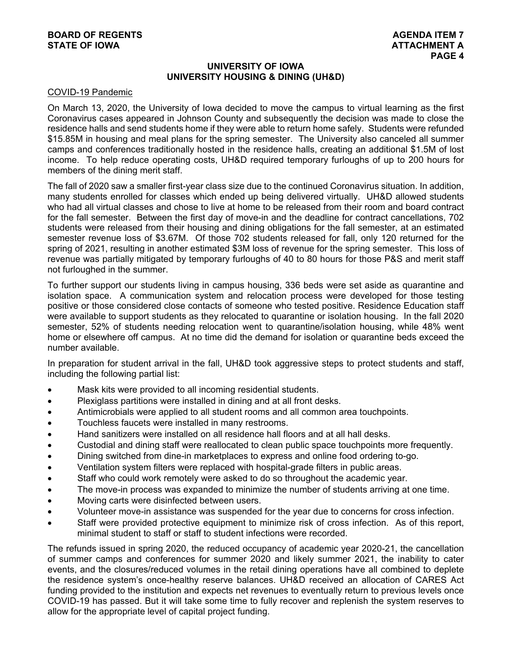#### **UNIVERSITY OF IOWA UNIVERSITY HOUSING & DINING (UH&D)**

#### COVID-19 Pandemic

On March 13, 2020, the University of Iowa decided to move the campus to virtual learning as the first Coronavirus cases appeared in Johnson County and subsequently the decision was made to close the residence halls and send students home if they were able to return home safely. Students were refunded \$15.85M in housing and meal plans for the spring semester. The University also canceled all summer camps and conferences traditionally hosted in the residence halls, creating an additional \$1.5M of lost income. To help reduce operating costs, UH&D required temporary furloughs of up to 200 hours for members of the dining merit staff.

The fall of 2020 saw a smaller first-year class size due to the continued Coronavirus situation. In addition, many students enrolled for classes which ended up being delivered virtually. UH&D allowed students who had all virtual classes and chose to live at home to be released from their room and board contract for the fall semester. Between the first day of move-in and the deadline for contract cancellations, 702 students were released from their housing and dining obligations for the fall semester, at an estimated semester revenue loss of \$3.67M. Of those 702 students released for fall, only 120 returned for the spring of 2021, resulting in another estimated \$3M loss of revenue for the spring semester. This loss of revenue was partially mitigated by temporary furloughs of 40 to 80 hours for those P&S and merit staff not furloughed in the summer.

To further support our students living in campus housing, 336 beds were set aside as quarantine and isolation space. A communication system and relocation process were developed for those testing positive or those considered close contacts of someone who tested positive. Residence Education staff were available to support students as they relocated to quarantine or isolation housing. In the fall 2020 semester, 52% of students needing relocation went to quarantine/isolation housing, while 48% went home or elsewhere off campus. At no time did the demand for isolation or quarantine beds exceed the number available.

In preparation for student arrival in the fall, UH&D took aggressive steps to protect students and staff, including the following partial list:

- Mask kits were provided to all incoming residential students.
- Plexiglass partitions were installed in dining and at all front desks.
- Antimicrobials were applied to all student rooms and all common area touchpoints.
- Touchless faucets were installed in many restrooms.
- Hand sanitizers were installed on all residence hall floors and at all hall desks.
- Custodial and dining staff were reallocated to clean public space touchpoints more frequently.
- Dining switched from dine-in marketplaces to express and online food ordering to-go.
- Ventilation system filters were replaced with hospital-grade filters in public areas.
- Staff who could work remotely were asked to do so throughout the academic year.
- The move-in process was expanded to minimize the number of students arriving at one time.
- Moving carts were disinfected between users.
- Volunteer move-in assistance was suspended for the year due to concerns for cross infection.
- Staff were provided protective equipment to minimize risk of cross infection. As of this report, minimal student to staff or staff to student infections were recorded.

The refunds issued in spring 2020, the reduced occupancy of academic year 2020-21, the cancellation of summer camps and conferences for summer 2020 and likely summer 2021, the inability to cater events, and the closures/reduced volumes in the retail dining operations have all combined to deplete the residence system's once-healthy reserve balances. UH&D received an allocation of CARES Act funding provided to the institution and expects net revenues to eventually return to previous levels once COVID-19 has passed. But it will take some time to fully recover and replenish the system reserves to allow for the appropriate level of capital project funding.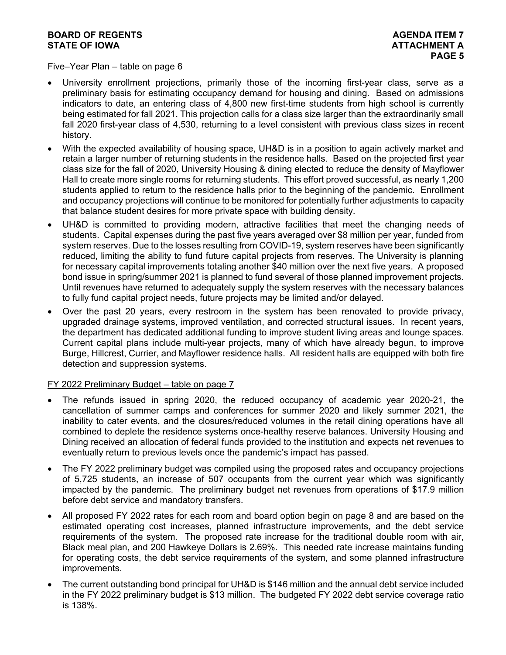#### Five–Year Plan – table on page 6

- University enrollment projections, primarily those of the incoming first-year class, serve as a preliminary basis for estimating occupancy demand for housing and dining. Based on admissions indicators to date, an entering class of 4,800 new first-time students from high school is currently being estimated for fall 2021. This projection calls for a class size larger than the extraordinarily small fall 2020 first-year class of 4,530, returning to a level consistent with previous class sizes in recent history.
- With the expected availability of housing space, UH&D is in a position to again actively market and retain a larger number of returning students in the residence halls. Based on the projected first year class size for the fall of 2020, University Housing & dining elected to reduce the density of Mayflower Hall to create more single rooms for returning students. This effort proved successful, as nearly 1,200 students applied to return to the residence halls prior to the beginning of the pandemic. Enrollment and occupancy projections will continue to be monitored for potentially further adjustments to capacity that balance student desires for more private space with building density.
- UH&D is committed to providing modern, attractive facilities that meet the changing needs of students. Capital expenses during the past five years averaged over \$8 million per year, funded from system reserves. Due to the losses resulting from COVID-19, system reserves have been significantly reduced, limiting the ability to fund future capital projects from reserves. The University is planning for necessary capital improvements totaling another \$40 million over the next five years. A proposed bond issue in spring/summer 2021 is planned to fund several of those planned improvement projects. Until revenues have returned to adequately supply the system reserves with the necessary balances to fully fund capital project needs, future projects may be limited and/or delayed.
- Over the past 20 years, every restroom in the system has been renovated to provide privacy, upgraded drainage systems, improved ventilation, and corrected structural issues. In recent years, the department has dedicated additional funding to improve student living areas and lounge spaces. Current capital plans include multi-year projects, many of which have already begun, to improve Burge, Hillcrest, Currier, and Mayflower residence halls. All resident halls are equipped with both fire detection and suppression systems.

#### FY 2022 Preliminary Budget - table on page 7

- The refunds issued in spring 2020, the reduced occupancy of academic year 2020-21, the cancellation of summer camps and conferences for summer 2020 and likely summer 2021, the inability to cater events, and the closures/reduced volumes in the retail dining operations have all combined to deplete the residence systems once-healthy reserve balances. University Housing and Dining received an allocation of federal funds provided to the institution and expects net revenues to eventually return to previous levels once the pandemic's impact has passed.
- The FY 2022 preliminary budget was compiled using the proposed rates and occupancy projections of 5,725 students, an increase of 507 occupants from the current year which was significantly impacted by the pandemic. The preliminary budget net revenues from operations of \$17.9 million before debt service and mandatory transfers.
- All proposed FY 2022 rates for each room and board option begin on page 8 and are based on the estimated operating cost increases, planned infrastructure improvements, and the debt service requirements of the system. The proposed rate increase for the traditional double room with air, Black meal plan, and 200 Hawkeye Dollars is 2.69%. This needed rate increase maintains funding for operating costs, the debt service requirements of the system, and some planned infrastructure improvements.
- The current outstanding bond principal for UH&D is \$146 million and the annual debt service included in the FY 2022 preliminary budget is \$13 million. The budgeted FY 2022 debt service coverage ratio is 138%.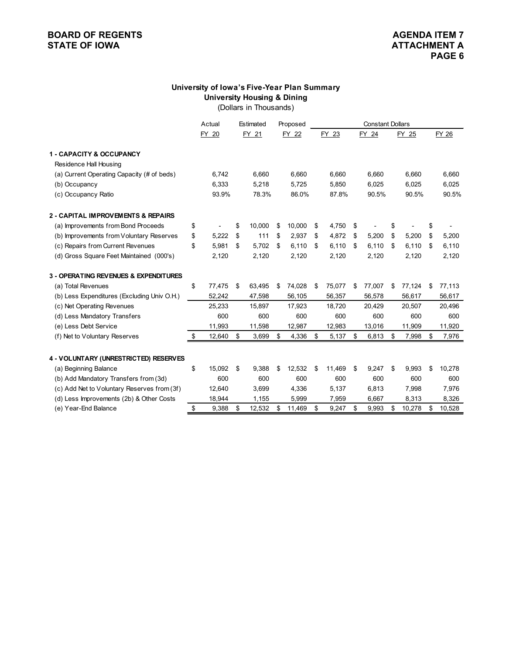#### **University of Iowa's Five-Year Plan Summary University Housing & Dining**

(Dollars in Thousands)

|                                             | Actual       | Estimated    | Proposed     | <b>Constant Dollars</b> |        |    |        |              |    |        |
|---------------------------------------------|--------------|--------------|--------------|-------------------------|--------|----|--------|--------------|----|--------|
|                                             | FY 20        | FY 21        | FY 22        |                         | FY 23  |    | FY 24  | FY 25        |    | FY 26  |
| <b>1 - CAPACITY &amp; OCCUPANCY</b>         |              |              |              |                         |        |    |        |              |    |        |
| Residence Hall Housing                      |              |              |              |                         |        |    |        |              |    |        |
| (a) Current Operating Capacity (# of beds)  | 6,742        | 6,660        | 6,660        |                         | 6,660  |    | 6,660  | 6,660        |    | 6,660  |
| (b) Occupancy                               | 6,333        | 5,218        | 5,725        |                         | 5.850  |    | 6,025  | 6,025        |    | 6,025  |
| (c) Occupancy Ratio                         | 93.9%        | 78.3%        | 86.0%        |                         | 87.8%  |    | 90.5%  | 90.5%        |    | 90.5%  |
| 2 - CAPITAL IMPROVEMENTS & REPAIRS          |              |              |              |                         |        |    |        |              |    |        |
| (a) Improvements from Bond Proceeds         | \$           | \$<br>10.000 | \$<br>10,000 | \$                      | 4,750  | \$ |        | \$           | \$ |        |
| (b) Improvements from Voluntary Reserves    | \$<br>5,222  | \$<br>111    | \$<br>2,937  | \$                      | 4,872  | \$ | 5,200  | \$<br>5,200  | \$ | 5,200  |
| (c) Repairs from Current Revenues           | \$<br>5,981  | \$<br>5,702  | \$<br>6,110  | \$                      | 6,110  | \$ | 6,110  | \$<br>6,110  | \$ | 6,110  |
| (d) Gross Square Feet Maintained (000's)    | 2,120        | 2,120        | 2,120        |                         | 2,120  |    | 2,120  | 2,120        |    | 2,120  |
| 3 - OPERATING REVENUES & EXPENDITURES       |              |              |              |                         |        |    |        |              |    |        |
| (a) Total Revenues                          | \$<br>77,475 | \$<br>63,495 | \$<br>74,028 | \$                      | 75,077 | \$ | 77,007 | \$<br>77,124 | \$ | 77,113 |
| (b) Less Expenditures (Excluding Univ O.H.) | 52,242       | 47,598       | 56,105       |                         | 56,357 |    | 56,578 | 56,617       |    | 56,617 |
| (c) Net Operating Revenues                  | 25,233       | 15,897       | 17,923       |                         | 18,720 |    | 20,429 | 20,507       |    | 20,496 |
| (d) Less Mandatory Transfers                | 600          | 600          | 600          |                         | 600    |    | 600    | 600          |    | 600    |
| (e) Less Debt Service                       | 11,993       | 11,598       | 12,987       |                         | 12,983 |    | 13,016 | 11,909       |    | 11,920 |
| (f) Net to Voluntary Reserves               | \$<br>12,640 | \$<br>3,699  | \$<br>4,336  | \$                      | 5,137  | \$ | 6,813  | \$<br>7,998  | \$ | 7,976  |
| 4 - VOLUNTARY (UNRESTRICTED) RESERVES       |              |              |              |                         |        |    |        |              |    |        |
| (a) Beginning Balance                       | \$<br>15,092 | \$<br>9,388  | \$<br>12,532 | \$                      | 11,469 | \$ | 9,247  | \$<br>9,993  | \$ | 10,278 |
| (b) Add Mandatory Transfers from (3d)       | 600          | 600          | 600          |                         | 600    |    | 600    | 600          |    | 600    |
| (c) Add Net to Voluntary Reserves from (3f) | 12,640       | 3,699        | 4,336        |                         | 5,137  |    | 6,813  | 7,998        |    | 7,976  |
| (d) Less Improvements (2b) & Other Costs    | 18,944       | 1,155        | 5,999        |                         | 7,959  |    | 6,667  | 8,313        |    | 8,326  |
| (e) Year-End Balance                        | \$<br>9,388  | \$<br>12,532 | \$<br>11,469 | \$                      | 9,247  | \$ | 9,993  | \$<br>10,278 | \$ | 10,528 |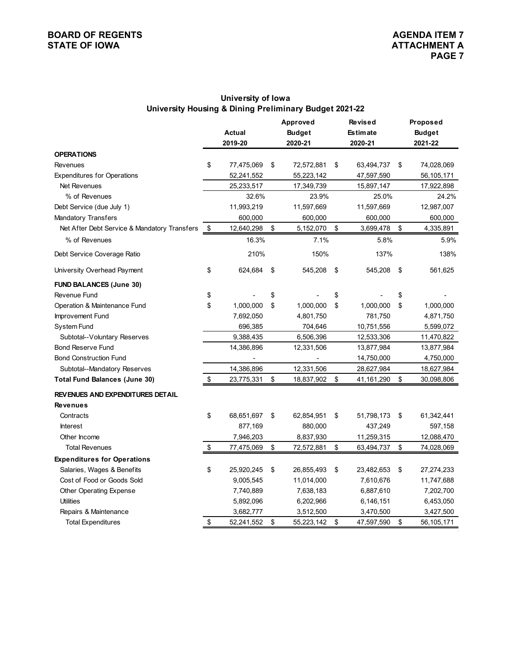#### **University of Iowa University Housing & Dining Preliminary Budget 2021-22**

|                                              | <b>Approved</b>  |    | Revised       | Proposed         |                  |
|----------------------------------------------|------------------|----|---------------|------------------|------------------|
|                                              | <b>Actual</b>    |    | <b>Budget</b> | <b>Estimate</b>  | <b>Budget</b>    |
|                                              | 2019-20          |    | 2020-21       | 2020-21          | 2021-22          |
| <b>OPERATIONS</b>                            |                  |    |               |                  |                  |
| Revenues                                     | \$<br>77,475,069 | \$ | 72,572,881    | \$<br>63,494,737 | \$<br>74,028,069 |
| <b>Expenditures for Operations</b>           | 52,241,552       |    | 55,223,142    | 47,597,590       | 56,105,171       |
| Net Revenues                                 | 25,233,517       |    | 17,349,739    | 15,897,147       | 17,922,898       |
| % of Revenues                                | 32.6%            |    | 23.9%         | 25.0%            | 24.2%            |
| Debt Service (due July 1)                    | 11,993,219       |    | 11,597,669    | 11,597,669       | 12,987,007       |
| <b>Mandatory Transfers</b>                   | 600,000          |    | 600,000       | 600,000          | 600,000          |
| Net After Debt Service & Mandatory Transfers | \$<br>12,640,298 | \$ | 5,152,070     | \$<br>3,699,478  | \$<br>4,335,891  |
| % of Revenues                                | 16.3%            |    | 7.1%          | 5.8%             | 5.9%             |
| Debt Service Coverage Ratio                  | 210%             |    | 150%          | 137%             | 138%             |
| University Overhead Payment                  | \$<br>624,684    | \$ | 545,208       | \$<br>545,208    | \$<br>561,625    |
| <b>FUND BALANCES (June 30)</b>               |                  |    |               |                  |                  |
| Revenue Fund                                 | \$               | \$ |               | \$               | \$               |
| Operation & Maintenance Fund                 | \$<br>1,000,000  | \$ | 1,000,000     | \$<br>1,000,000  | \$<br>1,000,000  |
| Improvement Fund                             | 7,692,050        |    | 4,801,750     | 781,750          | 4,871,750        |
| System Fund                                  | 696,385          |    | 704,646       | 10,751,556       | 5,599,072        |
| Subtotal--Voluntary Reserves                 | 9,388,435        |    | 6,506,396     | 12,533,306       | 11,470,822       |
| <b>Bond Reserve Fund</b>                     | 14,386,896       |    | 12,331,506    | 13,877,984       | 13,877,984       |
| <b>Bond Construction Fund</b>                |                  |    |               | 14,750,000       | 4,750,000        |
| Subtotal--Mandatory Reserves                 | 14,386,896       |    | 12,331,506    | 28,627,984       | 18,627,984       |
| <b>Total Fund Balances (June 30)</b>         | \$<br>23,775,331 | \$ | 18,837,902    | \$<br>41,161,290 | \$<br>30,098,806 |
| <b>REVENUES AND EXPENDITURES DETAIL</b>      |                  |    |               |                  |                  |
| <b>Revenues</b>                              |                  |    |               |                  |                  |
| Contracts                                    | \$<br>68,651,697 | \$ | 62,854,951    | \$<br>51,798,173 | \$<br>61,342,441 |
| <b>Interest</b>                              | 877,169          |    | 880,000       | 437,249          | 597,158          |
| Other Income                                 | 7,946,203        |    | 8,837,930     | 11,259,315       | 12,088,470       |
| <b>Total Revenues</b>                        | \$<br>77,475,069 | \$ | 72,572,881    | \$<br>63,494,737 | \$<br>74,028,069 |
| <b>Expenditures for Operations</b>           |                  |    |               |                  |                  |
| Salaries, Wages & Benefits                   | \$<br>25,920,245 | \$ | 26,855,493    | \$<br>23,482,653 | \$<br>27,274,233 |
| Cost of Food or Goods Sold                   | 9,005,545        |    | 11,014,000    | 7,610,676        | 11,747,688       |
| Other Operating Expense                      | 7,740,889        |    | 7,638,183     | 6,887,610        | 7,202,700        |
| <b>Utilities</b>                             | 5,892,096        |    | 6,202,966     | 6,146,151        | 6,453,050        |
| Repairs & Maintenance                        | 3,682,777        |    | 3,512,500     | 3,470,500        | 3,427,500        |
| <b>Total Expenditures</b>                    | \$<br>52,241,552 | \$ | 55,223,142    | \$<br>47,597,590 | \$<br>56,105,171 |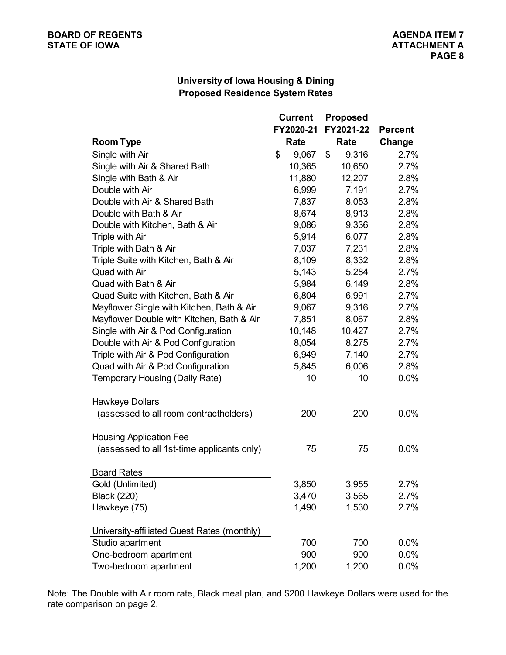#### **University of Iowa Housing & Dining Proposed Residence System Rates**

|                                             | <b>Current</b> | <b>Proposed</b> |                |  |
|---------------------------------------------|----------------|-----------------|----------------|--|
|                                             | FY2020-21      | FY2021-22       | <b>Percent</b> |  |
| <b>Room Type</b>                            | Rate           | Rate            | Change         |  |
| Single with Air                             | \$<br>9,067    | \$<br>9,316     | 2.7%           |  |
| Single with Air & Shared Bath               | 10,365         | 10,650          | 2.7%           |  |
| Single with Bath & Air                      | 11,880         | 12,207          | 2.8%           |  |
| Double with Air                             | 6,999          | 7,191           | 2.7%           |  |
| Double with Air & Shared Bath               | 7,837          | 8,053           | 2.8%           |  |
| Double with Bath & Air                      | 8,674          | 8,913           | 2.8%           |  |
| Double with Kitchen, Bath & Air             | 9,086          | 9,336           | 2.8%           |  |
| Triple with Air                             | 5,914          | 6,077           | 2.8%           |  |
| Triple with Bath & Air                      | 7,037          | 7,231           | 2.8%           |  |
| Triple Suite with Kitchen, Bath & Air       | 8,109          | 8,332           | 2.8%           |  |
| Quad with Air                               | 5,143          | 5,284           | 2.7%           |  |
| Quad with Bath & Air                        | 5,984          | 6,149           | 2.8%           |  |
| Quad Suite with Kitchen, Bath & Air         | 6,804          | 6,991           | 2.7%           |  |
| Mayflower Single with Kitchen, Bath & Air   | 9,067          | 9,316           | 2.7%           |  |
| Mayflower Double with Kitchen, Bath & Air   | 7,851          | 8,067           | 2.8%           |  |
| Single with Air & Pod Configuration         | 10,148         | 10,427          | 2.7%           |  |
| Double with Air & Pod Configuration         | 8,054          | 8,275           | 2.7%           |  |
| Triple with Air & Pod Configuration         | 6,949          | 7,140           | 2.7%           |  |
| Quad with Air & Pod Configuration           | 5,845          | 6,006           | 2.8%           |  |
| Temporary Housing (Daily Rate)              | 10             | 10              | 0.0%           |  |
| <b>Hawkeye Dollars</b>                      |                |                 |                |  |
| (assessed to all room contractholders)      | 200            | 200             | 0.0%           |  |
| <b>Housing Application Fee</b>              |                |                 |                |  |
| (assessed to all 1st-time applicants only)  | 75             | 75              | 0.0%           |  |
| <b>Board Rates</b>                          |                |                 |                |  |
| Gold (Unlimited)                            | 3,850          | 3,955           | 2.7%           |  |
| <b>Black (220)</b>                          | 3,470          | 3,565           | 2.7%           |  |
| Hawkeye (75)                                | 1,490          | 1,530           | 2.7%           |  |
| University-affiliated Guest Rates (monthly) |                |                 |                |  |
| Studio apartment                            | 700            | 700             | 0.0%           |  |
| One-bedroom apartment                       | 900            | 900             | 0.0%           |  |
| Two-bedroom apartment                       | 1,200          | 1,200           | 0.0%           |  |

Note: The Double with Air room rate, Black meal plan, and \$200 Hawkeye Dollars were used for the rate comparison on page 2.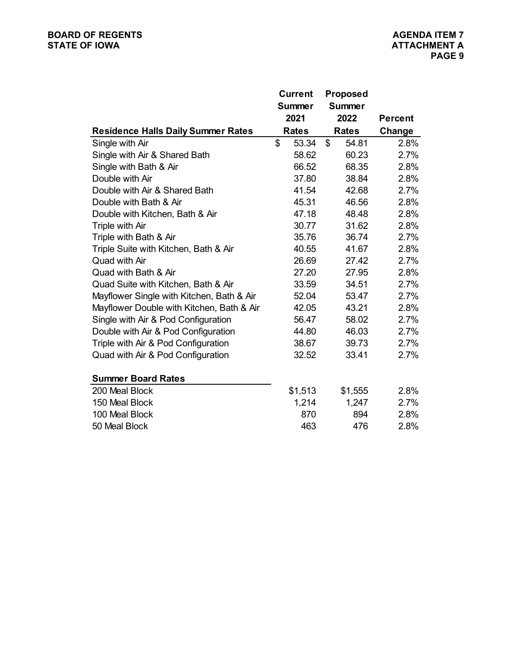|                                           | <b>Current</b><br><b>Summer</b><br>2021 | <b>Proposed</b><br><b>Summer</b><br>2022 | <b>Percent</b> |
|-------------------------------------------|-----------------------------------------|------------------------------------------|----------------|
| <b>Residence Halls Daily Summer Rates</b> | <b>Rates</b>                            | <b>Rates</b>                             | Change         |
| Single with Air                           | \$<br>53.34                             | \$<br>54.81                              | 2.8%           |
| Single with Air & Shared Bath             | 58.62                                   | 60.23                                    | 2.7%           |
| Single with Bath & Air                    | 66.52                                   | 68.35                                    | 2.8%           |
| Double with Air                           | 37.80                                   | 38.84                                    | 2.8%           |
| Double with Air & Shared Bath             | 41.54                                   | 42.68                                    | 2.7%           |
| Double with Bath & Air                    | 45.31                                   | 46.56                                    | 2.8%           |
| Double with Kitchen, Bath & Air           | 47.18                                   | 48.48                                    | 2.8%           |
| Triple with Air                           | 30.77                                   | 31.62                                    | 2.8%           |
| Triple with Bath & Air                    | 35.76                                   | 36.74                                    | 2.7%           |
| Triple Suite with Kitchen, Bath & Air     | 40.55                                   | 41.67                                    | 2.8%           |
| Quad with Air                             | 26.69                                   | 27.42                                    | 2.7%           |
| Quad with Bath & Air                      | 27.20                                   | 27.95                                    | 2.8%           |
| Quad Suite with Kitchen, Bath & Air       | 33.59                                   | 34.51                                    | 2.7%           |
| Mayflower Single with Kitchen, Bath & Air | 52.04                                   | 53.47                                    | 2.7%           |
| Mayflower Double with Kitchen, Bath & Air | 42.05                                   | 43.21                                    | 2.8%           |
| Single with Air & Pod Configuration       | 56.47                                   | 58.02                                    | 2.7%           |
| Double with Air & Pod Configuration       | 44.80                                   | 46.03                                    | 2.7%           |
| Triple with Air & Pod Configuration       | 38.67                                   | 39.73                                    | 2.7%           |
| Quad with Air & Pod Configuration         | 32.52                                   | 33.41                                    | 2.7%           |
| <b>Summer Board Rates</b>                 |                                         |                                          |                |
| 200 Meal Block                            | \$1,513                                 | \$1,555                                  | 2.8%           |
| 150 Meal Block                            | 1,214                                   | 1,247                                    | 2.7%           |
| 100 Meal Block                            | 870                                     | 894                                      | 2.8%           |
| 50 Meal Block                             | 463                                     | 476                                      | 2.8%           |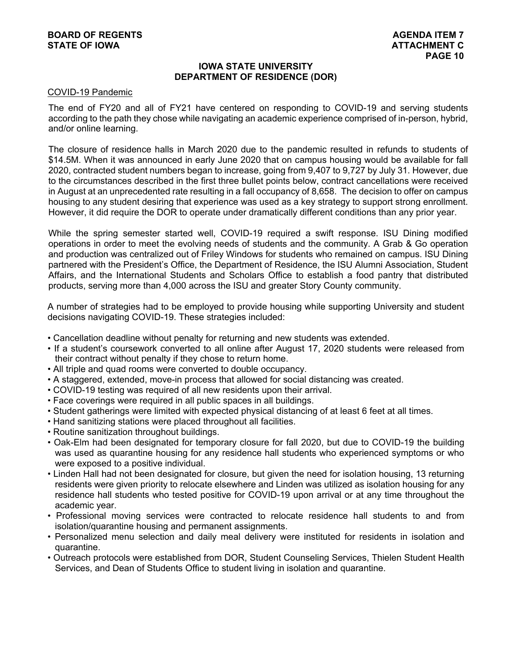#### **IOWA STATE UNIVERSITY DEPARTMENT OF RESIDENCE (DOR)**

#### COVID-19 Pandemic

The end of FY20 and all of FY21 have centered on responding to COVID-19 and serving students according to the path they chose while navigating an academic experience comprised of in-person, hybrid, and/or online learning.

The closure of residence halls in March 2020 due to the pandemic resulted in refunds to students of \$14.5M. When it was announced in early June 2020 that on campus housing would be available for fall 2020, contracted student numbers began to increase, going from 9,407 to 9,727 by July 31. However, due to the circumstances described in the first three bullet points below, contract cancellations were received in August at an unprecedented rate resulting in a fall occupancy of 8,658. The decision to offer on campus housing to any student desiring that experience was used as a key strategy to support strong enrollment. However, it did require the DOR to operate under dramatically different conditions than any prior year.

While the spring semester started well, COVID-19 required a swift response. ISU Dining modified operations in order to meet the evolving needs of students and the community. A Grab & Go operation and production was centralized out of Friley Windows for students who remained on campus. ISU Dining partnered with the President's Office, the Department of Residence, the ISU Alumni Association, Student Affairs, and the International Students and Scholars Office to establish a food pantry that distributed products, serving more than 4,000 across the ISU and greater Story County community.

A number of strategies had to be employed to provide housing while supporting University and student decisions navigating COVID-19. These strategies included:

- Cancellation deadline without penalty for returning and new students was extended.
- If a student's coursework converted to all online after August 17, 2020 students were released from their contract without penalty if they chose to return home.
- All triple and quad rooms were converted to double occupancy.
- A staggered, extended, move-in process that allowed for social distancing was created.
- COVID-19 testing was required of all new residents upon their arrival.
- Face coverings were required in all public spaces in all buildings.
- Student gatherings were limited with expected physical distancing of at least 6 feet at all times.
- Hand sanitizing stations were placed throughout all facilities.
- Routine sanitization throughout buildings.
- Oak-Elm had been designated for temporary closure for fall 2020, but due to COVID-19 the building was used as quarantine housing for any residence hall students who experienced symptoms or who were exposed to a positive individual.
- Linden Hall had not been designated for closure, but given the need for isolation housing, 13 returning residents were given priority to relocate elsewhere and Linden was utilized as isolation housing for any residence hall students who tested positive for COVID-19 upon arrival or at any time throughout the academic year.
- Professional moving services were contracted to relocate residence hall students to and from isolation/quarantine housing and permanent assignments.
- Personalized menu selection and daily meal delivery were instituted for residents in isolation and quarantine.
- Outreach protocols were established from DOR, Student Counseling Services, Thielen Student Health Services, and Dean of Students Office to student living in isolation and quarantine.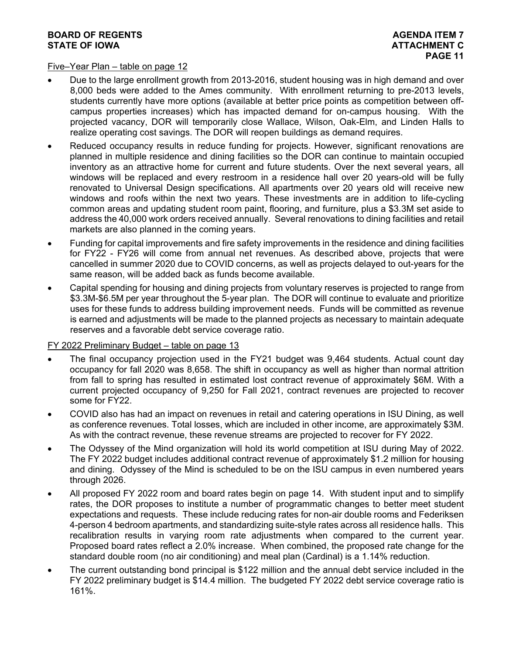#### Five–Year Plan – table on page 12

- Due to the large enrollment growth from 2013-2016, student housing was in high demand and over 8,000 beds were added to the Ames community. With enrollment returning to pre-2013 levels, students currently have more options (available at better price points as competition between offcampus properties increases) which has impacted demand for on-campus housing. With the projected vacancy, DOR will temporarily close Wallace, Wilson, Oak-Elm, and Linden Halls to realize operating cost savings. The DOR will reopen buildings as demand requires.
- Reduced occupancy results in reduce funding for projects. However, significant renovations are planned in multiple residence and dining facilities so the DOR can continue to maintain occupied inventory as an attractive home for current and future students. Over the next several years, all windows will be replaced and every restroom in a residence hall over 20 years-old will be fully renovated to Universal Design specifications. All apartments over 20 years old will receive new windows and roofs within the next two years. These investments are in addition to life-cycling common areas and updating student room paint, flooring, and furniture, plus a \$3.3M set aside to address the 40,000 work orders received annually. Several renovations to dining facilities and retail markets are also planned in the coming years.
- Funding for capital improvements and fire safety improvements in the residence and dining facilities for FY22 - FY26 will come from annual net revenues. As described above, projects that were cancelled in summer 2020 due to COVID concerns, as well as projects delayed to out-years for the same reason, will be added back as funds become available.
- Capital spending for housing and dining projects from voluntary reserves is projected to range from \$3.3M-\$6.5M per year throughout the 5-year plan. The DOR will continue to evaluate and prioritize uses for these funds to address building improvement needs. Funds will be committed as revenue is earned and adjustments will be made to the planned projects as necessary to maintain adequate reserves and a favorable debt service coverage ratio.

#### FY 2022 Preliminary Budget – table on page 13

- The final occupancy projection used in the FY21 budget was 9,464 students. Actual count day occupancy for fall 2020 was 8,658. The shift in occupancy as well as higher than normal attrition from fall to spring has resulted in estimated lost contract revenue of approximately \$6M. With a current projected occupancy of 9,250 for Fall 2021, contract revenues are projected to recover some for FY22.
- COVID also has had an impact on revenues in retail and catering operations in ISU Dining, as well as conference revenues. Total losses, which are included in other income, are approximately \$3M. As with the contract revenue, these revenue streams are projected to recover for FY 2022.
- The Odyssey of the Mind organization will hold its world competition at ISU during May of 2022. The FY 2022 budget includes additional contract revenue of approximately \$1.2 million for housing and dining. Odyssey of the Mind is scheduled to be on the ISU campus in even numbered years through 2026.
- All proposed FY 2022 room and board rates begin on page 14. With student input and to simplify rates, the DOR proposes to institute a number of programmatic changes to better meet student expectations and requests. These include reducing rates for non-air double rooms and Federiksen 4-person 4 bedroom apartments, and standardizing suite-style rates across all residence halls. This recalibration results in varying room rate adjustments when compared to the current year. Proposed board rates reflect a 2.0% increase. When combined, the proposed rate change for the standard double room (no air conditioning) and meal plan (Cardinal) is a 1.14% reduction.
- The current outstanding bond principal is \$122 million and the annual debt service included in the FY 2022 preliminary budget is \$14.4 million. The budgeted FY 2022 debt service coverage ratio is 161%.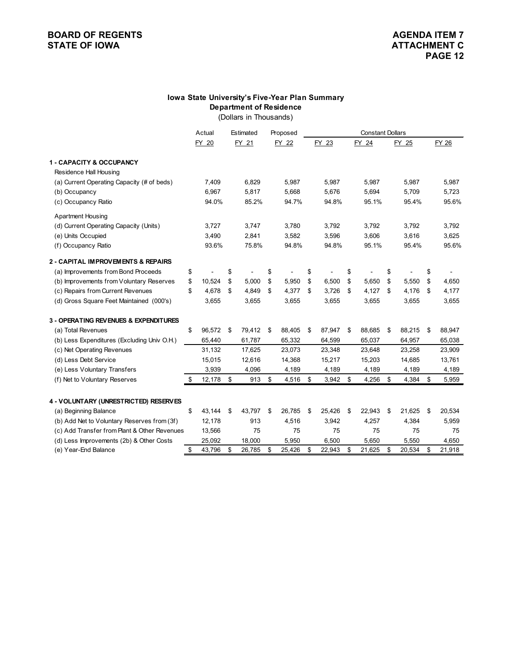#### **Department of Residence Iowa State University's Five-Year Plan Summary**

(Dollars in Thousands)

|                                              | Actual       | Estimated    | Proposed     | <b>Constant Dollars</b> |        |    |        |              |    |        |
|----------------------------------------------|--------------|--------------|--------------|-------------------------|--------|----|--------|--------------|----|--------|
|                                              | FY 20        | FY 21        | FY 22        |                         | FY 23  |    | FY 24  | FY 25        |    | FY 26  |
| <b>1 - CAPACITY &amp; OCCUPANCY</b>          |              |              |              |                         |        |    |        |              |    |        |
| Residence Hall Housing                       |              |              |              |                         |        |    |        |              |    |        |
| (a) Current Operating Capacity (# of beds)   | 7,409        | 6,829        | 5,987        |                         | 5,987  |    | 5,987  | 5,987        |    | 5,987  |
| (b) Occupancy                                | 6,967        | 5,817        | 5,668        |                         | 5,676  |    | 5,694  | 5,709        |    | 5,723  |
| (c) Occupancy Ratio                          | 94.0%        | 85.2%        | 94.7%        |                         | 94.8%  |    | 95.1%  | 95.4%        |    | 95.6%  |
| <b>Apartment Housing</b>                     |              |              |              |                         |        |    |        |              |    |        |
| (d) Current Operating Capacity (Units)       | 3,727        | 3,747        | 3,780        |                         | 3,792  |    | 3,792  | 3,792        |    | 3,792  |
| (e) Units Occupied                           | 3,490        | 2,841        | 3,582        |                         | 3,596  |    | 3,606  | 3,616        |    | 3,625  |
| (f) Occupancy Ratio                          | 93.6%        | 75.8%        | 94.8%        |                         | 94.8%  |    | 95.1%  | 95.4%        |    | 95.6%  |
| 2 - CAPITAL IMPROVEMENTS & REPAIRS           |              |              |              |                         |        |    |        |              |    |        |
| (a) Improvements from Bond Proceeds          | \$           | \$           | \$           | \$                      |        | \$ |        | \$           | \$ |        |
| (b) Improvements from Voluntary Reserves     | \$<br>10,524 | \$<br>5,000  | \$<br>5,950  | \$                      | 6,500  | \$ | 5,650  | \$<br>5,550  | \$ | 4,650  |
| (c) Repairs from Current Revenues            | \$<br>4,678  | \$<br>4,849  | \$<br>4,377  | \$                      | 3,726  | \$ | 4,127  | \$<br>4,176  | \$ | 4,177  |
| (d) Gross Square Feet Maintained (000's)     | 3,655        | 3,655        | 3,655        |                         | 3,655  |    | 3,655  | 3,655        |    | 3,655  |
| 3 - OPERATING REVENUES & EXPENDITURES        |              |              |              |                         |        |    |        |              |    |        |
| (a) Total Revenues                           | \$<br>96,572 | \$<br>79,412 | \$<br>88,405 | \$                      | 87,947 | \$ | 88,685 | \$<br>88,215 | \$ | 88,947 |
| (b) Less Expenditures (Excluding Univ O.H.)  | 65,440       | 61,787       | 65,332       |                         | 64,599 |    | 65,037 | 64,957       |    | 65,038 |
| (c) Net Operating Revenues                   | 31,132       | 17,625       | 23,073       |                         | 23,348 |    | 23,648 | 23,258       |    | 23,909 |
| (d) Less Debt Service                        | 15,015       | 12,616       | 14,368       |                         | 15,217 |    | 15,203 | 14,685       |    | 13,761 |
| (e) Less Voluntary Transfers                 | 3,939        | 4,096        | 4,189        |                         | 4,189  |    | 4,189  | 4,189        |    | 4,189  |
| (f) Net to Voluntary Reserves                | \$<br>12,178 | \$<br>913    | \$<br>4,516  | \$                      | 3,942  | \$ | 4,256  | \$<br>4,384  | \$ | 5,959  |
|                                              |              |              |              |                         |        |    |        |              |    |        |
| 4 - VOLUNTARY (UNRESTRICTED) RESERVES        |              |              |              |                         |        |    |        |              |    |        |
| (a) Beginning Balance                        | \$<br>43,144 | \$<br>43,797 | \$<br>26,785 | \$                      | 25,426 | \$ | 22,943 | \$<br>21,625 | \$ | 20,534 |
| (b) Add Net to Voluntary Reserves from (3f)  | 12,178       | 913          | 4,516        |                         | 3,942  |    | 4,257  | 4,384        |    | 5,959  |
| (c) Add Transfer from Plant & Other Revenues | 13,566       | 75           | 75           |                         | 75     |    | 75     | 75           |    | 75     |
| (d) Less Improvements (2b) & Other Costs     | \$<br>25,092 | \$<br>18,000 | \$<br>5,950  | \$                      | 6,500  | \$ | 5,650  | 5,550        | \$ | 4,650  |
| (e) Year-End Balance                         | 43,796       | 26,785       | 25,426       |                         | 22,943 |    | 21,625 | \$<br>20,534 |    | 21,918 |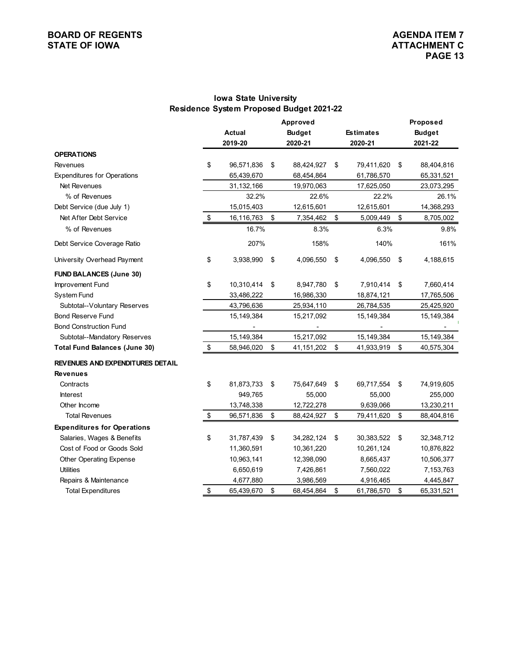#### **Iowa State University Residence System Proposed Budget 2021-22**

|                                         |                  | Approved           |                  | Proposed         |
|-----------------------------------------|------------------|--------------------|------------------|------------------|
|                                         | Actual           | <b>Budget</b>      | <b>Estimates</b> | <b>Budget</b>    |
|                                         | 2019-20          | 2020-21            | 2020-21          | 2021-22          |
| <b>OPERATIONS</b>                       |                  |                    |                  |                  |
| <b>Revenues</b>                         | \$<br>96,571,836 | \$<br>88,424,927   | \$<br>79,411,620 | \$<br>88,404,816 |
| <b>Expenditures for Operations</b>      | 65,439,670       | 68,454,864         | 61,786,570       | 65,331,521       |
| Net Revenues                            | 31,132,166       | 19,970,063         | 17,625,050       | 23,073,295       |
| % of Revenues                           | 32.2%            | 22.6%              | 22.2%            | 26.1%            |
| Debt Service (due July 1)               | 15,015,403       | 12,615,601         | 12,615,601       | 14,368,293       |
| Net After Debt Service                  | \$<br>16,116,763 | \$<br>7,354,462    | \$<br>5,009,449  | \$<br>8,705,002  |
| % of Revenues                           | 16.7%            | 8.3%               | 6.3%             | 9.8%             |
| Debt Service Coverage Ratio             | 207%             | 158%               | 140%             | 161%             |
| University Overhead Payment             | \$<br>3,938,990  | \$<br>4,096,550    | \$<br>4,096,550  | \$<br>4,188,615  |
| <b>FUND BALANCES (June 30)</b>          |                  |                    |                  |                  |
| Improvement Fund                        | \$<br>10,310,414 | \$<br>8,947,780    | \$<br>7,910,414  | \$<br>7,660,414  |
| System Fund                             | 33,486,222       | 16,986,330         | 18,874,121       | 17,765,506       |
| Subtotal--Voluntary Reserves            | 43,796,636       | 25,934,110         | 26,784,535       | 25,425,920       |
| <b>Bond Reserve Fund</b>                | 15,149,384       | 15,217,092         | 15,149,384       | 15,149,384       |
| <b>Bond Construction Fund</b>           |                  |                    |                  |                  |
| Subtotal--Mandatory Reserves            | 15,149,384       | 15,217,092         | 15,149,384       | 15,149,384       |
| <b>Total Fund Balances (June 30)</b>    | \$<br>58,946,020 | \$<br>41, 151, 202 | \$<br>41,933,919 | \$<br>40,575,304 |
| <b>REVENUES AND EXPENDITURES DETAIL</b> |                  |                    |                  |                  |
| <b>Revenues</b>                         |                  |                    |                  |                  |
| Contracts                               | \$<br>81,873,733 | \$<br>75,647,649   | \$<br>69,717,554 | \$<br>74,919,605 |
| <b>Interest</b>                         | 949,765          | 55,000             | 55,000           | 255,000          |
| Other Income                            | 13,748,338       | 12,722,278         | 9,639,066        | 13,230,211       |
| <b>Total Revenues</b>                   | \$<br>96,571,836 | \$<br>88,424,927   | \$<br>79,411,620 | \$<br>88,404,816 |
| <b>Expenditures for Operations</b>      |                  |                    |                  |                  |
| Salaries, Wages & Benefits              | \$<br>31,787,439 | \$<br>34,282,124   | \$<br>30,383,522 | \$<br>32,348,712 |
| Cost of Food or Goods Sold              | 11,360,591       | 10,361,220         | 10,261,124       | 10,876,822       |
| Other Operating Expense                 | 10,963,141       | 12,398,090         | 8,665,437        | 10,506,377       |
| <b>Utilities</b>                        | 6,650,619        | 7,426,861          | 7,560,022        | 7,153,763        |
| Repairs & Maintenance                   | 4,677,880        | 3,986,569          | 4,916,465        | 4,445,847        |
| <b>Total Expenditures</b>               | \$<br>65,439,670 | \$<br>68,454,864   | \$<br>61,786,570 | \$<br>65,331,521 |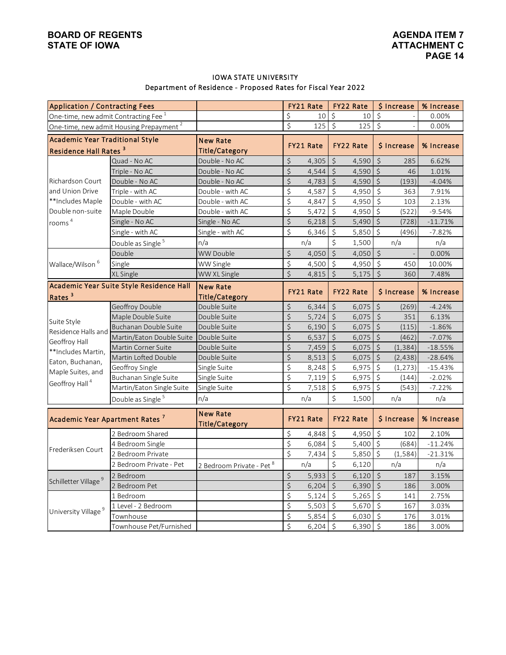#### IOWA STATE UNIVERSITY Department of Residence - Proposed Rates for Fiscal Year 2022

| <b>Application / Contracting Fees</b>            |                                                     |                           |         | FY21 Rate |                        | FY22 Rate        |             | \$ Increase | % Increase |
|--------------------------------------------------|-----------------------------------------------------|---------------------------|---------|-----------|------------------------|------------------|-------------|-------------|------------|
| One-time, new admit Contracting Fee <sup>1</sup> |                                                     |                           | \$      | 10        | $\zeta$                | 10               | $\zeta$     |             | 0.00%      |
|                                                  | One-time, new admit Housing Prepayment <sup>2</sup> |                           | \$      | 125       | $\zeta$                | 125              | $\zeta$     |             | 0.00%      |
| <b>Academic Year Traditional Style</b>           |                                                     | <b>New Rate</b>           |         |           |                        |                  |             |             |            |
| Residence Hall Rates <sup>3</sup>                |                                                     | <b>Title/Category</b>     |         | FY21 Rate | FY22 Rate              |                  |             | \$ Increase | % Increase |
|                                                  | Quad - No AC                                        | Double - No AC            | \$      | 4,305     | $\zeta$                | 4,590            | $\zeta$     | 285         | 6.62%      |
|                                                  | Triple - No AC                                      | Double - No AC            | \$      | 4,544     | $\varsigma$            | 4,590            | \$          | 46          | 1.01%      |
| Richardson Court                                 | Double - No AC                                      | Double - No AC            | $\zeta$ | 4,783     | $\zeta$                | 4,590            | $\zeta$     | (193)       | $-4.04%$   |
| and Union Drive                                  | Triple - with AC                                    | Double - with AC          | \$      | 4,587     | $\zeta$                | 4,950            | \$          | 363         | 7.91%      |
| **Includes Maple                                 | Double - with AC                                    | Double - with AC          | \$      | 4,847     | $\zeta$                | 4,950            | $\zeta$     | 103         | 2.13%      |
| Double non-suite                                 | Maple Double                                        | Double - with AC          | \$      | 5,472     | \$                     | 4,950            | \$          | (522)       | $-9.54%$   |
| rooms <sup>4</sup>                               | Single - No AC                                      | Single - No AC            | \$      | 6,218     | $\zeta$                | 5,490            | $\zeta$     | (728)       | $-11.71%$  |
|                                                  | Single - with AC                                    | Single - with AC          | \$      | 6,346     | \$                     | 5,850            | $\zeta$     | (496)       | $-7.82%$   |
|                                                  | Double as Single <sup>5</sup>                       | n/a                       |         | n/a       | $\zeta$                | 1,500            |             | n/a         | n/a        |
|                                                  | Double                                              | <b>WW Double</b>          | \$      | 4,050     | $\overline{\varsigma}$ | 4,050            | $\zeta$     |             | 0.00%      |
| Wallace/Wilson <sup>6</sup>                      | Single                                              | WW Single                 | \$      | 4,500     | $\varsigma$            | 4,950            | $\zeta$     | 450         | 10.00%     |
|                                                  | XL Single                                           | WW XL Single              | $\zeta$ | 4,815     | $\zeta$                | 5,175            | $\zeta$     | 360         | 7.48%      |
|                                                  | Academic Year Suite Style Residence Hall            | <b>New Rate</b>           |         |           |                        |                  |             |             |            |
| Rates <sup>3</sup>                               |                                                     | <b>Title/Category</b>     |         | FY21 Rate |                        | FY22 Rate        |             | \$ Increase | % Increase |
|                                                  | Geoffroy Double                                     | Double Suite              | \$      | 6,344     | $\boldsymbol{\zeta}$   | 6,075            | \$          | (269)       | $-4.24%$   |
|                                                  | Maple Double Suite                                  | Double Suite              | \$      | 5,724     | $\zeta$                | 6,075            | $\zeta$     | 351         | 6.13%      |
| Suite Style                                      | Buchanan Double Suite                               | Double Suite              | \$      | 6,190     | $\varsigma$            | 6,075            | $\zeta$     | (115)       | $-1.86%$   |
| Residence Halls and                              | Martin/Eaton Double Suite                           | Double Suite              | \$      | 6,537     | $\zeta$                | 6,075            | $\varsigma$ | (462)       | $-7.07%$   |
| Geoffroy Hall                                    | Martin Corner Suite                                 | Double Suite              | \$      | 7,459     | $\boldsymbol{\zeta}$   | 6,075            | \$          | (1, 384)    | $-18.55%$  |
| **Includes Martin,                               | Martin Lofted Double                                | Double Suite              | $\zeta$ | 8,513     | $\zeta$                | 6,075            | $\zeta$     | (2, 438)    | $-28.64%$  |
| Eaton, Buchanan,                                 | Geoffroy Single                                     | Single Suite              | \$      | 8,248     | \$                     | 6,975            | \$          | (1, 273)    | $-15.43%$  |
| Maple Suites, and                                | Buchanan Single Suite                               | Single Suite              | \$      | 7,119     | $\zeta$                | 6,975            | $\zeta$     | (144)       | $-2.02%$   |
| Geoffroy Hall <sup>4</sup>                       | Martin/Eaton Single Suite                           | Single Suite              | \$      | 7,518     | $\zeta$                | 6,975            | $\zeta$     | (543)       | $-7.22%$   |
|                                                  | Double as Single <sup>5</sup>                       | n/a                       |         | n/a       | \$                     | 1,500            |             | n/a         | n/a        |
|                                                  |                                                     | <b>New Rate</b>           |         |           |                        |                  |             |             |            |
| Academic Year Apartment Rates <sup>7</sup>       |                                                     | Title/Category            |         | FY21 Rate |                        | <b>FY22 Rate</b> |             | \$ Increase | % Increase |
|                                                  | 2 Bedroom Shared                                    |                           | \$      | 4,848     | \$                     | 4,950            | $\zeta$     | 102         | 2.10%      |
|                                                  | 4 Bedroom Single                                    |                           | \$      | 6,084     | $\zeta$                | 5,400            | $\zeta$     | (684)       | $-11.24%$  |
| Frederiksen Court                                | 2 Bedroom Private                                   |                           | \$      | 7,434     | \$                     | 5,850            | \$          | (1, 584)    | $-21.31%$  |
|                                                  | 2 Bedroom Private - Pet                             | 2 Bedroom Private - Pet 8 |         | n/a       | \$                     | 6,120            |             | n/a         | n/a        |
|                                                  | 2 Bedroom                                           |                           | \$      | 5,933     | $\zeta$                | 6,120            | \$          | 187         | 3.15%      |
| Schilletter Village <sup>9</sup>                 | 2 Bedroom Pet                                       |                           | $\zeta$ | 6,204     | $\zeta$                | 6,390            | $\zeta$     | 186         | 3.00%      |
|                                                  | 1 Bedroom                                           |                           | \$      | 5,124     | $\zeta$                | 5,265            | \$          | 141         | 2.75%      |
|                                                  | 1 Level - 2 Bedroom                                 |                           | \$      | 5,503     | $\zeta$                | 5,670            | \$          | 167         | 3.03%      |
| University Village <sup>9</sup>                  | Townhouse                                           |                           | \$      | 5,854     | $\zeta$                | 6,030            | \$          | 176         | 3.01%      |
|                                                  |                                                     |                           | \$      | 6,204     | $\zeta$                | 6,390            | $\zeta$     | 186         |            |
|                                                  | Townhouse Pet/Furnished                             |                           |         |           |                        |                  |             |             | 3.00%      |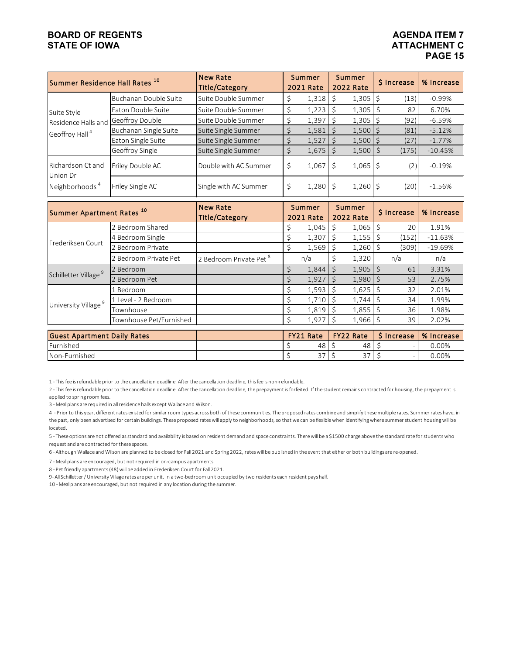### **ATTACHMENT C PAGE 15**

| Summer Residence Hall Rates <sup>10</sup> |                       | <b>New Rate</b><br><b>Title/Category</b> | <b>Summer</b><br><b>2021 Rate</b> |              | <b>Summer</b><br><b>2022 Rate</b> |      | \$ Increase                   | % Increase                                     |
|-------------------------------------------|-----------------------|------------------------------------------|-----------------------------------|--------------|-----------------------------------|------|-------------------------------|------------------------------------------------|
|                                           | Buchanan Double Suite | Suite Double Summer                      | \$<br>1,318                       | <sup>S</sup> | 1,305                             | S,   | (13)                          | $-0.99%$                                       |
| Suite Style                               | Eaton Double Suite    | Suite Double Summer                      | \$<br>1,223                       |              | 1,305                             |      | 82                            | 6.70%                                          |
| Residence Halls and                       | Geoffroy Double       | Suite Double Summer                      | \$<br>1,397                       | - Ś          | 1,305                             | S,   | (92)                          | $-6.59%$                                       |
| Geoffroy Hall <sup>4</sup>                | Buchanan Single Suite | Suite Single Summer                      | \$<br>1,581                       | - Ś          | 1,500                             |      | (81)                          | $-5.12%$                                       |
|                                           | Eaton Single Suite    | Suite Single Summer                      | \$<br>1,527                       | -\$          | 1,500                             |      | (27)                          | $-1.77%$                                       |
|                                           | Geoffroy Single       | Suite Single Summer                      | \$<br>1,675                       | l \$         | 1,500                             | l \$ | (175)                         | $-10.45%$                                      |
| Richardson Ct and<br>Union Dr             | Friley Double AC      | Double with AC Summer                    | \$<br>1,067                       | -Ś           | 1,065                             | Ŝ.   | (2)                           | $-0.19%$                                       |
| Neighborhoods <sup>4</sup>                | Friley Single AC      | Single with AC Summer                    | \$<br>$1,280$ \$                  |              | $1,260$ \$                        |      | (20)                          | $-1.56%$                                       |
| . 10<br><b>A</b>                          |                       | <b>New Rate</b>                          | Summer                            |              | Summer                            |      | the company of the company of | $\mathbf{A}$ and $\mathbf{A}$ and $\mathbf{A}$ |

| Summer Apartment Rates <sup>10</sup> | inew Rate               |                                    | Summer | Summer                |      |                  | \$ Increase | % Increase  |            |
|--------------------------------------|-------------------------|------------------------------------|--------|-----------------------|------|------------------|-------------|-------------|------------|
|                                      |                         | <b>Title/Category</b>              |        | 2021 Rate             |      | <b>2022 Rate</b> |             |             |            |
|                                      | 2 Bedroom Shared        |                                    |        | 1,045                 | -Ŝ   | 1,065            | -Ŝ          | 20          | 1.91%      |
|                                      | 4 Bedroom Single        |                                    |        | 1,307                 | Ŝ.   | 1,155            | -Ŝ          | (152)       | $-11.63%$  |
| Frederiksen Court                    | 2 Bedroom Private       |                                    |        | 1,569                 | l \$ | 1,260            |             | (309)       | $-19.69%$  |
|                                      | 2 Bedroom Private Pet   | 2 Bedroom Private Pet <sup>8</sup> |        | n/a                   | \$   | 1,320            |             | n/a         | n/a        |
|                                      | Bedroom                 |                                    |        | 1,844                 | Ŝ.   | 1,905            | $\zeta$     | 61          | 3.31%      |
| Schilletter Village <sup>9</sup>     | Bedroom Pet             |                                    |        | 1,927                 |      | 1,980            |             | 53          | 2.75%      |
|                                      | Bedroom                 |                                    |        | 1,593                 |      | 1,625            |             | 32          | 2.01%      |
|                                      | Level - 2 Bedroom       |                                    |        | 1,710                 |      | 1,744            |             | 34          | 1.99%      |
| University Village <sup>9</sup>      | Townhouse               |                                    |        | $1,819$ $\frac{1}{5}$ |      | 1,855            | -S          | 36          | 1.98%      |
|                                      | Townhouse Pet/Furnished |                                    | Ś      | 1,927                 | -Ŝ   | $1,966$ \$       |             | 39          | 2.02%      |
|                                      |                         |                                    |        |                       |      |                  |             |             |            |
| <b>Guest Apartment Daily Rates</b>   |                         |                                    |        | <b>FY21 Rate</b>      |      | <b>FY22 Rate</b> |             | \$ Increase | % Increase |
| Furnished                            |                         |                                    |        | 48                    |      | 48               |             |             | 0.00%      |
| Non-Furnished                        |                         |                                    |        | 37 <sup>1</sup>       | \$   | 37               |             |             | 0.00%      |

1 - This fee is refundable prior to the cancellation deadline. After the cancellation deadline, this fee is non-refundable.

2 - This fee is refundable prior to the cancellation deadline. After the cancellation deadline, the prepayment is forfeited. If the student remains contracted for housing, the prepayment is applied to spring room fees.

3 - Meal plans are required in all residence halls except Wallace and Wilson.

4 - Prior to this year, different rates existed for similar room types across both of these communities. The proposed rates combine and simplify these multiple rates. Summer rates have, in the past, only been advertised for certain buildings. These proposed rates will apply to neighborhoods, so that we can be flexible when identifying where summer student housing will be located.

5 - These options are not offered as standard and availability is based on resident demand and space constraints. There will be a \$1500 charge above the standard rate for students who request and are contracted for these spaces.

6 - Although Wallace and Wilson are planned to be closed for Fall 2021 and Spring 2022, rates will be published in the event that either or both buildings are re-opened.

7 - Meal plans are encouraged, but not required in on-campus apartments.

8 - Pet friendly apartments (48) will be added in Frederiksen Court for Fall 2021.

9- All Schilletter / University Village rates are per unit. In a two-bedroom unit occupied by two residents each resident pays half.

10 - Meal plans are encouraged, but not required in any location during the summer.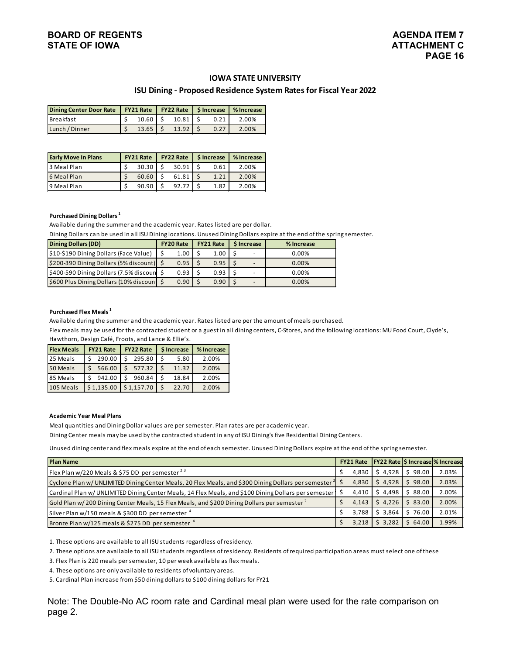#### **IOWA STATE UNIVERSITY**

#### **ISU Dining - Proposed Residence System Rates for Fiscal Year 2022**

| Dining Center Door Rate   FY21 Rate   FY22 Rate   \$ Increase   % Increase |  |                           |      |       |  |  |  |
|----------------------------------------------------------------------------|--|---------------------------|------|-------|--|--|--|
| <b>Breakfast</b>                                                           |  | $10.60$   \$ $10.81$   \$ | 0.21 | 2.00% |  |  |  |
| Lunch / Dinner                                                             |  | $13.65$   \$ $13.92$   \$ | 0.27 | 2.00% |  |  |  |

| <b>Early Move In Plans</b> | <b>FY21 Rate</b> | $FY22 Rate$   \$ Increase |      | % Increase |  |  |  |
|----------------------------|------------------|---------------------------|------|------------|--|--|--|
| 3 Meal Plan                | 30.30            | 30.91                     | 0.61 | 2.00%      |  |  |  |
| 6 Meal Plan                | 60.60            | 61.81                     | 1.21 | 2.00%      |  |  |  |
| 9 Meal Plan                | 90.90            | 92.72                     | 1.82 | 2.00%      |  |  |  |

#### **Purchased Dining Dollars 1**

Available during the summer and the academic year. Rates listed are per dollar.

Dining Dollars can be used in all ISU Dining locations. Unused Dining Dollars expire at the end of the spring semester.

| <b>Dining Dollars (DD)</b>                  | <b>FY20 Rate</b> | <b>FY21 Rate</b> | <b>S</b> Increase | % Increase |  |  |
|---------------------------------------------|------------------|------------------|-------------------|------------|--|--|
| \$10-\$190 Dining Dollars (Face Value)      | 1.00             | 1.00             |                   | $0.00\%$   |  |  |
| \$200-390 Dining Dollars (5% discount)   \$ | 0.95             | 0.95             |                   | 0.00%      |  |  |
| \$400-590 Dining Dollars (7.5% discoun \$   | 0.93             | 0.93             |                   | $0.00\%$   |  |  |
| \$600 Plus Dining Dollars (10% discount \$  | 0.90             | 0.90             | -                 | 0.00%      |  |  |

#### **Purchased Flex Meals 1**

Available during the summer and the academic year. Rates listed are per the amount of meals purchased.

Flex meals may be used for the contracted student or a guest in all dining centers, C-Stores, and the following locations: MU Food Court, Clyde's, Hawthorn, Design Café, Froots, and Lance & Ellie's.

| <b>Flex Meals</b> | <b>FY21 Rate</b>        | <b>FY22 Rate</b> | \$ Increase | % Increase |
|-------------------|-------------------------|------------------|-------------|------------|
| 25 Meals          | 290.00                  | 295.80           | 5.80        | 2.00%      |
| 50 Meals          | 566.00                  | 577.32           | 11.32       | 2.00%      |
| 85 Meals          | 942.00                  | 960.84           | 18.84       | 2.00%      |
| 105 Meals         | $$1,135.00$ $$1,157.70$ |                  | 22.70       | 2.00%      |

#### **Academic Year Meal Plans**

Meal quantities and Dining Dollar values are per semester. Plan rates are per academic year.

Dining Center meals may be used by the contracted student in any of ISU Dining's five Residential Dining Centers.

Unused dining center and flex meals expire at the end of each semester. Unused Dining Dollars expire at the end of the spring semester.

| <b>Plan Name</b>                                                                                              |       |         |         | FY21 Rate   FY22 Rate   \$ Increase  % Increase |
|---------------------------------------------------------------------------------------------------------------|-------|---------|---------|-------------------------------------------------|
| Flex Plan w/220 Meals & \$75 DD per semester $^{23}$                                                          | 4.830 | \$4.928 | 98.00   | 2.03%                                           |
| Cyclone Plan w/UNLIMITED Dining Center Meals, 20 Flex Meals, and \$300 Dining Dollars per semester $\uparrow$ | 4.830 | 54.928  | \$98.00 | 2.03%                                           |
| Cardinal Plan w/ UNLIMITED Dining Center Meals, 14 Flex Meals, and \$100 Dining Dollars per semester          | 4,410 | \$4.498 | \$88.00 | 2.00%                                           |
| Gold Plan w/200 Dining Center Meals, 15 Flex Meals, and \$200 Dining Dollars per semester $^2$                | 4,143 | \$4,226 | \$83.00 | 2.00%                                           |
| Silver Plan w/150 meals & \$300 DD per semester 4                                                             | 3.788 | \$3.864 | 76.00   | 2.01%                                           |
| Bronze Plan w/125 meals & \$275 DD per semester 4                                                             | 3,218 | \$3,282 | 64.00   | 1.99%                                           |

1. These options are available to all ISU students regardless of residency.

2. These options are available to all ISU students regardless of residency. Residents of required participation areas must select one of these

3. Flex Plan is 220 meals per semester, 10 per week available as flex meals.

4. These options are only available to residents of voluntary areas.

5. Cardinal Plan increase from \$50 dining dollars to \$100 dining dollars for FY21

Note: The Double-No AC room rate and Cardinal meal plan were used for the rate comparison on page 2.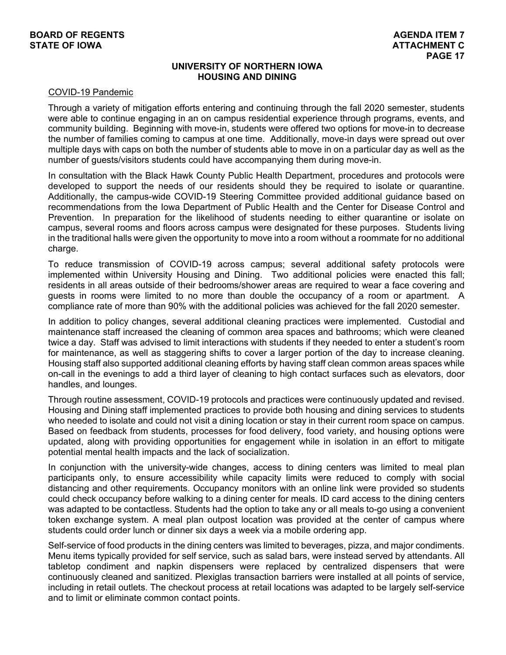#### **UNIVERSITY OF NORTHERN IOWA HOUSING AND DINING**

#### COVID-19 Pandemic

Through a variety of mitigation efforts entering and continuing through the fall 2020 semester, students were able to continue engaging in an on campus residential experience through programs, events, and community building. Beginning with move-in, students were offered two options for move-in to decrease the number of families coming to campus at one time. Additionally, move-in days were spread out over multiple days with caps on both the number of students able to move in on a particular day as well as the number of guests/visitors students could have accompanying them during move-in.

In consultation with the Black Hawk County Public Health Department, procedures and protocols were developed to support the needs of our residents should they be required to isolate or quarantine. Additionally, the campus-wide COVID-19 Steering Committee provided additional guidance based on recommendations from the Iowa Department of Public Health and the Center for Disease Control and Prevention. In preparation for the likelihood of students needing to either quarantine or isolate on campus, several rooms and floors across campus were designated for these purposes. Students living in the traditional halls were given the opportunity to move into a room without a roommate for no additional charge.

To reduce transmission of COVID-19 across campus; several additional safety protocols were implemented within University Housing and Dining. Two additional policies were enacted this fall; residents in all areas outside of their bedrooms/shower areas are required to wear a face covering and guests in rooms were limited to no more than double the occupancy of a room or apartment. A compliance rate of more than 90% with the additional policies was achieved for the fall 2020 semester.

In addition to policy changes, several additional cleaning practices were implemented. Custodial and maintenance staff increased the cleaning of common area spaces and bathrooms; which were cleaned twice a day. Staff was advised to limit interactions with students if they needed to enter a student's room for maintenance, as well as staggering shifts to cover a larger portion of the day to increase cleaning. Housing staff also supported additional cleaning efforts by having staff clean common areas spaces while on-call in the evenings to add a third layer of cleaning to high contact surfaces such as elevators, door handles, and lounges.

Through routine assessment, COVID-19 protocols and practices were continuously updated and revised. Housing and Dining staff implemented practices to provide both housing and dining services to students who needed to isolate and could not visit a dining location or stay in their current room space on campus. Based on feedback from students, processes for food delivery, food variety, and housing options were updated, along with providing opportunities for engagement while in isolation in an effort to mitigate potential mental health impacts and the lack of socialization.

In conjunction with the university-wide changes, access to dining centers was limited to meal plan participants only, to ensure accessibility while capacity limits were reduced to comply with social distancing and other requirements. Occupancy monitors with an online link were provided so students could check occupancy before walking to a dining center for meals. ID card access to the dining centers was adapted to be contactless. Students had the option to take any or all meals to-go using a convenient token exchange system. A meal plan outpost location was provided at the center of campus where students could order lunch or dinner six days a week via a mobile ordering app.

Self-service of food products in the dining centers was limited to beverages, pizza, and major condiments. Menu items typically provided for self service, such as salad bars, were instead served by attendants. All tabletop condiment and napkin dispensers were replaced by centralized dispensers that were continuously cleaned and sanitized. Plexiglas transaction barriers were installed at all points of service, including in retail outlets. The checkout process at retail locations was adapted to be largely self-service and to limit or eliminate common contact points.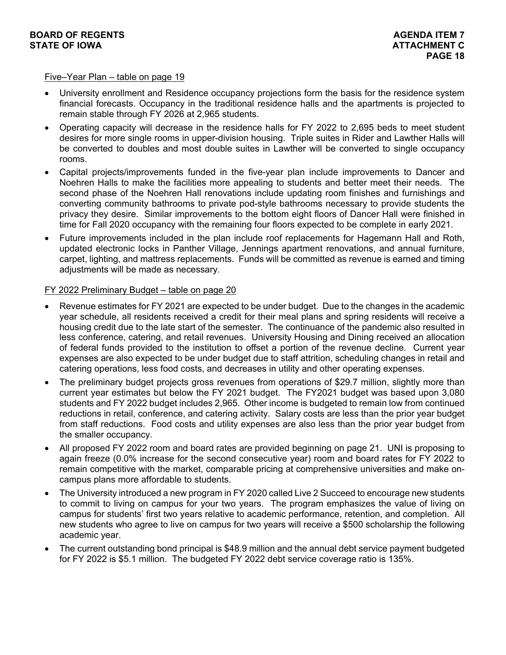#### Five–Year Plan – table on page 19

- University enrollment and Residence occupancy projections form the basis for the residence system financial forecasts. Occupancy in the traditional residence halls and the apartments is projected to remain stable through FY 2026 at 2,965 students.
- Operating capacity will decrease in the residence halls for FY 2022 to 2,695 beds to meet student desires for more single rooms in upper-division housing. Triple suites in Rider and Lawther Halls will be converted to doubles and most double suites in Lawther will be converted to single occupancy rooms.
- Capital projects/improvements funded in the five-year plan include improvements to Dancer and Noehren Halls to make the facilities more appealing to students and better meet their needs. The second phase of the Noehren Hall renovations include updating room finishes and furnishings and converting community bathrooms to private pod-style bathrooms necessary to provide students the privacy they desire. Similar improvements to the bottom eight floors of Dancer Hall were finished in time for Fall 2020 occupancy with the remaining four floors expected to be complete in early 2021.
- Future improvements included in the plan include roof replacements for Hagemann Hall and Roth, updated electronic locks in Panther Village, Jennings apartment renovations, and annual furniture, carpet, lighting, and mattress replacements. Funds will be committed as revenue is earned and timing adjustments will be made as necessary.

#### FY 2022 Preliminary Budget – table on page 20

- Revenue estimates for FY 2021 are expected to be under budget. Due to the changes in the academic year schedule, all residents received a credit for their meal plans and spring residents will receive a housing credit due to the late start of the semester. The continuance of the pandemic also resulted in less conference, catering, and retail revenues. University Housing and Dining received an allocation of federal funds provided to the institution to offset a portion of the revenue decline. Current year expenses are also expected to be under budget due to staff attrition, scheduling changes in retail and catering operations, less food costs, and decreases in utility and other operating expenses.
- The preliminary budget projects gross revenues from operations of \$29.7 million, slightly more than current year estimates but below the FY 2021 budget. The FY2021 budget was based upon 3,080 students and FY 2022 budget includes 2,965. Other income is budgeted to remain low from continued reductions in retail, conference, and catering activity. Salary costs are less than the prior year budget from staff reductions. Food costs and utility expenses are also less than the prior year budget from the smaller occupancy.
- All proposed FY 2022 room and board rates are provided beginning on page 21. UNI is proposing to again freeze (0.0% increase for the second consecutive year) room and board rates for FY 2022 to remain competitive with the market, comparable pricing at comprehensive universities and make oncampus plans more affordable to students.
- The University introduced a new program in FY 2020 called Live 2 Succeed to encourage new students to commit to living on campus for your two years. The program emphasizes the value of living on campus for students' first two years relative to academic performance, retention, and completion. All new students who agree to live on campus for two years will receive a \$500 scholarship the following academic year.
- The current outstanding bond principal is \$48.9 million and the annual debt service payment budgeted for FY 2022 is \$5.1 million. The budgeted FY 2022 debt service coverage ratio is 135%.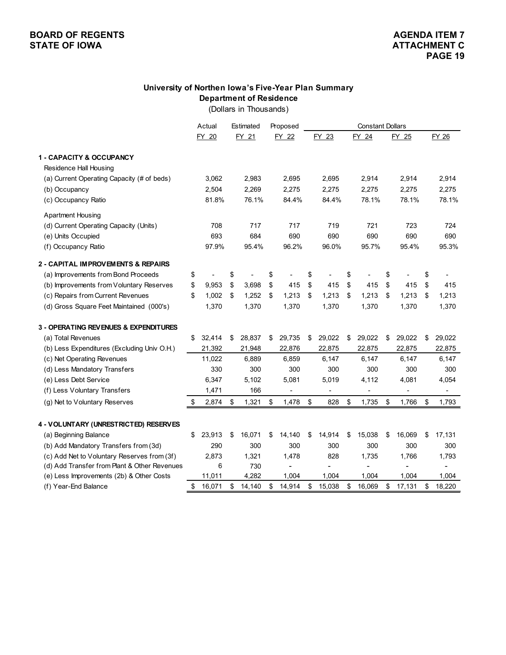#### **University of Northen Iowa's Five-Year Plan Summary Department of Residence**

(Dollars in Thousands)

|                                                                  | Actual       | Estimated    | Proposed     | <b>Constant Dollars</b> |                              |    |        |              |    |        |
|------------------------------------------------------------------|--------------|--------------|--------------|-------------------------|------------------------------|----|--------|--------------|----|--------|
|                                                                  | FY 20        | FY 21        | FY 22        |                         | FY 23                        |    | FY 24  | FY 25        |    | FY 26  |
| 1 - CAPACITY & OCCUPANCY                                         |              |              |              |                         |                              |    |        |              |    |        |
| Residence Hall Housing                                           |              |              |              |                         |                              |    |        |              |    |        |
| (a) Current Operating Capacity (# of beds)                       | 3,062        | 2,983        | 2,695        |                         | 2,695                        |    | 2,914  | 2,914        |    | 2,914  |
| (b) Occupancy                                                    | 2,504        | 2,269        | 2,275        |                         | 2,275                        |    | 2,275  | 2,275        |    | 2,275  |
| (c) Occupancy Ratio                                              | 81.8%        | 76.1%        | 84.4%        |                         | 84.4%                        |    | 78.1%  | 78.1%        |    | 78.1%  |
| <b>Apartment Housing</b>                                         |              |              |              |                         |                              |    |        |              |    |        |
| (d) Current Operating Capacity (Units)                           | 708          | 717          | 717          |                         | 719                          |    | 721    | 723          |    | 724    |
| (e) Units Occupied                                               | 693          | 684          | 690          |                         | 690                          |    | 690    | 690          |    | 690    |
| (f) Occupancy Ratio                                              | 97.9%        | 95.4%        | 96.2%        |                         | 96.0%                        |    | 95.7%  | 95.4%        |    | 95.3%  |
| 2 - CAPITAL IMPROVEMENTS & REPAIRS                               |              |              |              |                         |                              |    |        |              |    |        |
| (a) Improvements from Bond Proceeds                              | \$           | \$           | \$           | \$                      |                              | \$ |        | \$           | \$ |        |
| (b) Improvements from Voluntary Reserves                         | \$<br>9,953  | \$<br>3,698  | \$<br>415    | \$                      | 415                          | \$ | 415    | \$<br>415    | \$ | 415    |
| (c) Repairs from Current Revenues                                | \$<br>1,002  | \$<br>1,252  | \$<br>1,213  | \$                      | 1,213                        | \$ | 1,213  | \$<br>1,213  | \$ | 1,213  |
| (d) Gross Square Feet Maintained (000's)                         | 1,370        | 1,370        | 1,370        |                         | 1,370                        |    | 1,370  | 1,370        |    | 1,370  |
| 3 - OPERATING REVENUES & EXPENDITURES                            |              |              |              |                         |                              |    |        |              |    |        |
| (a) Total Revenues                                               | \$<br>32,414 | \$<br>28,837 | \$<br>29,735 | \$                      | 29,022                       | \$ | 29,022 | \$<br>29,022 | \$ | 29,022 |
| (b) Less Expenditures (Excluding Univ O.H.)                      | 21,392       | 21,948       | 22,876       |                         | 22,875                       |    | 22,875 | 22,875       |    | 22,875 |
| (c) Net Operating Revenues                                       | 11,022       | 6,889        | 6,859        |                         | 6,147                        |    | 6,147  | 6,147        |    | 6,147  |
| (d) Less Mandatory Transfers                                     | 330          | 300          | 300          |                         | 300                          |    | 300    | 300          |    | 300    |
| (e) Less Debt Service                                            | 6,347        | 5,102        | 5,081        |                         | 5,019                        |    | 4,112  | 4,081        |    | 4,054  |
| (f) Less Voluntary Transfers                                     | 1,471        | 166          |              |                         | $\qquad \qquad \blacksquare$ |    | -      |              |    |        |
| (g) Net to Voluntary Reserves                                    | \$<br>2,874  | \$<br>1,321  | \$<br>1,478  | \$                      | 828                          | \$ | 1,735  | \$<br>1,766  | \$ | 1,793  |
|                                                                  |              |              |              |                         |                              |    |        |              |    |        |
| 4 - VOLUNTARY (UNRESTRICTED) RESERVES                            |              |              |              |                         |                              |    |        |              |    |        |
| (a) Beginning Balance                                            | \$<br>23,913 | \$<br>16,071 | \$<br>14,140 | \$                      | 14,914                       | \$ | 15,038 | \$<br>16,069 | \$ | 17,131 |
| (b) Add Mandatory Transfers from (3d)                            | 290          | 300          | 300          |                         | 300                          |    | 300    | 300          |    | 300    |
| (c) Add Net to Voluntary Reserves from (3f)                      | 2,873        | 1,321<br>730 | 1,478        |                         | 828                          |    | 1,735  | 1,766        |    | 1,793  |
| (d) Add Transfer from Plant & Other Revenues                     | 6<br>11,011  | 4,282        | 1,004        |                         | 1,004                        |    | 1,004  | 1,004        |    | 1,004  |
| (e) Less Improvements (2b) & Other Costs<br>(f) Year-End Balance | \$<br>16,071 | \$<br>14,140 | \$<br>14,914 | \$                      | 15,038                       | \$ | 16,069 | \$<br>17,131 | \$ | 18,220 |
|                                                                  |              |              |              |                         |                              |    |        |              |    |        |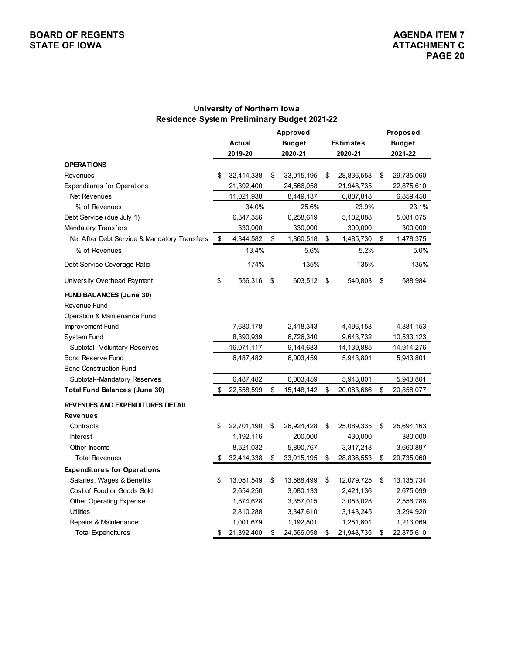#### **University of Northern Iowa Residence System Preliminary Budget 2021-22**

|                                              |                  | Approved           |                  | Proposed         |
|----------------------------------------------|------------------|--------------------|------------------|------------------|
|                                              | <b>Actual</b>    | <b>Budget</b>      | <b>Estimates</b> | <b>Budget</b>    |
|                                              | 2019-20          | 2020-21            | 2020-21          | 2021-22          |
| <b>OPERATIONS</b>                            |                  |                    |                  |                  |
| Revenues                                     | \$<br>32,414,338 | \$<br>33,015,195   | \$<br>28,836,553 | \$<br>29,735,060 |
| <b>Expenditures for Operations</b>           | 21,392,400       | 24,566,058         | 21,948,735       | 22,875,610       |
| Net Revenues                                 | 11,021,938       | 8,449,137          | 6,887,818        | 6,859,450        |
| % of Revenues                                | 34.0%            | 25.6%              | 23.9%            | 23.1%            |
| Debt Service (due July 1)                    | 6,347,356        | 6,258,619          | 5,102,088        | 5,081,075        |
| Mandatory Transfers                          | 330,000          | 330,000            | 300,000          | 300,000          |
| Net After Debt Service & Mandatory Transfers | \$<br>4,344,582  | \$<br>1,860,518    | \$<br>1,485,730  | \$<br>1,478,375  |
| % of Revenues                                | 13.4%            | 5.6%               | 5.2%             | 5.0%             |
| Debt Service Coverage Ratio                  | 174%             | 135%               | 135%             | 135%             |
| University Overhead Payment                  | \$<br>556,316    | \$<br>603,512      | \$<br>540,803    | \$<br>588,984    |
| <b>FUND BALANCES (June 30)</b>               |                  |                    |                  |                  |
| Revenue Fund                                 |                  |                    |                  |                  |
| Operation & Maintenance Fund                 |                  |                    |                  |                  |
| Improvement Fund                             | 7,680,178        | 2,418,343          | 4,496,153        | 4,381,153        |
| System Fund                                  | 8,390,939        | 6,726,340          | 9,643,732        | 10,533,123       |
| Subtotal--Voluntary Reserves                 | 16,071,117       | 9,144,683          | 14,139,885       | 14,914,276       |
| <b>Bond Reserve Fund</b>                     | 6,487,482        | 6,003,459          | 5,943,801        | 5,943,801        |
| <b>Bond Construction Fund</b>                |                  |                    |                  |                  |
| Subtotal--Mandatory Reserves                 | 6,487,482        | 6,003,459          | 5,943,801        | 5,943,801        |
| <b>Total Fund Balances (June 30)</b>         | \$<br>22,558,599 | \$<br>15, 148, 142 | \$<br>20,083,686 | \$<br>20,858,077 |
| <b>REVENUES AND EXPENDITURES DETAIL</b>      |                  |                    |                  |                  |
| <b>Revenues</b>                              |                  |                    |                  |                  |
| Contracts                                    | \$<br>22,701,190 | \$<br>26,924,428   | \$<br>25,089,335 | \$<br>25,694,163 |
| <b>Interest</b>                              | 1,192,116        | 200,000            | 430,000          | 380,000          |
| Other Income                                 | 8,521,032        | 5,890,767          | 3,317,218        | 3,660,897        |
| <b>Total Revenues</b>                        | \$<br>32,414,338 | \$<br>33,015,195   | \$<br>28,836,553 | \$<br>29,735,060 |
| <b>Expenditures for Operations</b>           |                  |                    |                  |                  |
| Salaries, Wages & Benefits                   | \$<br>13,051,549 | \$<br>13,588,499   | \$<br>12,079,725 | \$<br>13,135,734 |
| Cost of Food or Goods Sold                   | 2,654,256        | 3,080,133          | 2,421,136        | 2,675,099        |
| Other Operating Expense                      | 1,874,628        | 3,357,015          | 3,053,028        | 2,556,788        |
| <b>Utilities</b>                             | 2,810,288        | 3,347,610          | 3,143,245        | 3,294,920        |
| Repairs & Maintenance                        | 1,001,679        | 1,192,801          | 1,251,601        | 1,213,069        |
| Total Expenditures                           | \$<br>21,392,400 | \$<br>24,566,058   | \$<br>21,948,735 | \$<br>22,875,610 |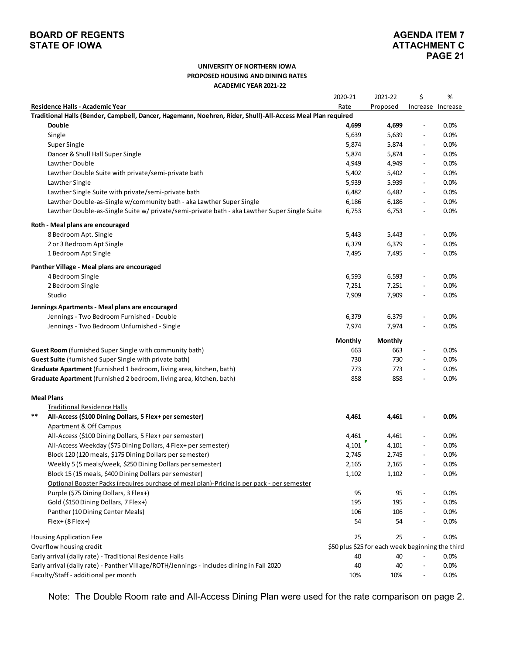# **PAGE 21**

#### **UNIVERSITY OF NORTHERN IOWA PROPOSED HOUSING AND DINING RATES ACADEMIC YEAR 2021-22**

|                                                                                                             | 2020-21 | 2021-22                                          | \$                       | %                 |
|-------------------------------------------------------------------------------------------------------------|---------|--------------------------------------------------|--------------------------|-------------------|
| Residence Halls - Academic Year                                                                             | Rate    | Proposed                                         |                          | Increase Increase |
| Traditional Halls (Bender, Campbell, Dancer, Hagemann, Noehren, Rider, Shull)-All-Access Meal Plan required |         |                                                  |                          |                   |
| Double                                                                                                      | 4,699   | 4,699                                            | $\overline{\phantom{a}}$ | 0.0%              |
| Single                                                                                                      | 5,639   | 5,639                                            | $\overline{a}$           | 0.0%              |
| Super Single                                                                                                | 5,874   | 5,874                                            | $\overline{a}$           | 0.0%              |
| Dancer & Shull Hall Super Single                                                                            | 5,874   | 5,874                                            |                          | 0.0%              |
| Lawther Double                                                                                              | 4,949   | 4,949                                            | $\overline{\phantom{a}}$ | 0.0%              |
| Lawther Double Suite with private/semi-private bath                                                         | 5,402   | 5,402                                            | $\overline{\phantom{a}}$ | 0.0%              |
| Lawther Single                                                                                              | 5,939   | 5,939                                            | $\overline{\phantom{a}}$ | 0.0%              |
| Lawther Single Suite with private/semi-private bath                                                         | 6,482   | 6,482                                            | $\overline{\phantom{a}}$ | 0.0%              |
| Lawther Double-as-Single w/community bath - aka Lawther Super Single                                        | 6,186   | 6,186                                            | $\overline{\phantom{a}}$ | 0.0%              |
| Lawther Double-as-Single Suite w/ private/semi-private bath - aka Lawther Super Single Suite                | 6,753   | 6,753                                            | $\overline{\phantom{a}}$ | 0.0%              |
| Roth - Meal plans are encouraged                                                                            |         |                                                  |                          |                   |
| 8 Bedroom Apt. Single                                                                                       | 5,443   | 5,443                                            | $\overline{a}$           | 0.0%              |
| 2 or 3 Bedroom Apt Single                                                                                   | 6,379   | 6,379                                            | $\overline{a}$           | 0.0%              |
| 1 Bedroom Apt Single                                                                                        | 7,495   | 7,495                                            |                          | 0.0%              |
| Panther Village - Meal plans are encouraged                                                                 |         |                                                  |                          |                   |
| 4 Bedroom Single                                                                                            | 6,593   | 6,593                                            | $\overline{a}$           | 0.0%              |
| 2 Bedroom Single                                                                                            | 7,251   | 7,251                                            | $\overline{\phantom{a}}$ | 0.0%              |
| Studio                                                                                                      | 7,909   | 7,909                                            | $\overline{\phantom{a}}$ | 0.0%              |
| Jennings Apartments - Meal plans are encouraged                                                             |         |                                                  |                          |                   |
| Jennings - Two Bedroom Furnished - Double                                                                   | 6,379   | 6,379                                            | $\overline{\phantom{a}}$ | 0.0%              |
| Jennings - Two Bedroom Unfurnished - Single                                                                 | 7,974   | 7,974                                            | $\overline{\phantom{a}}$ | 0.0%              |
|                                                                                                             |         |                                                  |                          |                   |
|                                                                                                             | Monthly | Monthly                                          |                          |                   |
| Guest Room (furnished Super Single with community bath)                                                     | 663     | 663                                              | $\overline{\phantom{a}}$ | 0.0%              |
| Guest Suite (furnished Super Single with private bath)                                                      | 730     | 730                                              | $\overline{\phantom{a}}$ | 0.0%              |
| Graduate Apartment (furnished 1 bedroom, living area, kitchen, bath)                                        | 773     | 773                                              | $\overline{\phantom{a}}$ | 0.0%              |
| Graduate Apartment (furnished 2 bedroom, living area, kitchen, bath)                                        | 858     | 858                                              | $\overline{\phantom{0}}$ | 0.0%              |
| <b>Meal Plans</b>                                                                                           |         |                                                  |                          |                   |
| <b>Traditional Residence Halls</b>                                                                          |         |                                                  |                          |                   |
| $***$<br>All-Access (\$100 Dining Dollars, 5 Flex+ per semester)                                            | 4,461   | 4,461                                            |                          | 0.0%              |
| Apartment & Off Campus                                                                                      |         |                                                  |                          |                   |
| All-Access (\$100 Dining Dollars, 5 Flex+ per semester)                                                     | 4,461   | 4,461                                            | $\overline{\phantom{a}}$ | 0.0%              |
| All-Access Weekday (\$75 Dining Dollars, 4 Flex+ per semester)                                              | 4,101   | 4,101                                            |                          | 0.0%              |
| Block 120 (120 meals, \$175 Dining Dollars per semester)                                                    | 2,745   | 2,745                                            | $\overline{\phantom{a}}$ | 0.0%              |
| Weekly 5 (5 meals/week, \$250 Dining Dollars per semester)                                                  | 2,165   | 2,165                                            |                          | 0.0%              |
| Block 15 (15 meals, \$400 Dining Dollars per semester)                                                      | 1,102   | 1,102                                            |                          | 0.0%              |
| Optional Booster Packs (requires purchase of meal plan)-Pricing is per pack - per semester                  |         |                                                  |                          |                   |
| Purple (\$75 Dining Dollars, 3 Flex+)                                                                       | 95      | 95                                               |                          | 0.0%              |
| Gold (\$150 Dining Dollars, 7 Flex+)                                                                        | 195     | 195                                              |                          | 0.0%              |
| Panther (10 Dining Center Meals)                                                                            | 106     | 106                                              |                          | 0.0%              |
| $Flex+(8Flex+)$                                                                                             | 54      | 54                                               |                          | 0.0%              |
| <b>Housing Application Fee</b>                                                                              | 25      | 25                                               |                          | 0.0%              |
| Overflow housing credit                                                                                     |         | \$50 plus \$25 for each week beginning the third |                          |                   |
| Early arrival (daily rate) - Traditional Residence Halls                                                    | 40      | 40                                               |                          | 0.0%              |
| Early arrival (daily rate) - Panther Village/ROTH/Jennings - includes dining in Fall 2020                   | 40      | 40                                               |                          | 0.0%              |
| Faculty/Staff - additional per month                                                                        | 10%     | 10%                                              |                          | 0.0%              |

Note: The Double Room rate and All-Access Dining Plan were used for the rate comparison on page 2.